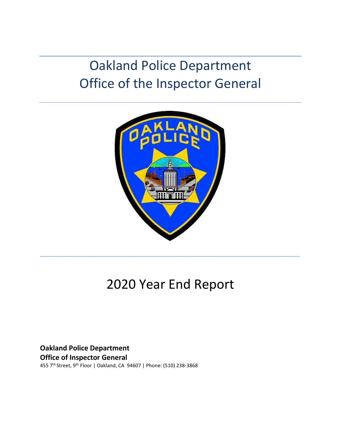# Oakland Police Department Office of the Inspector General



# 2020 Year End Report

**Oakland Police Department Office of Inspector General** 455 7th Street, 9th Floor | Oakland, CA 94607 | Phone: (510) 238-3868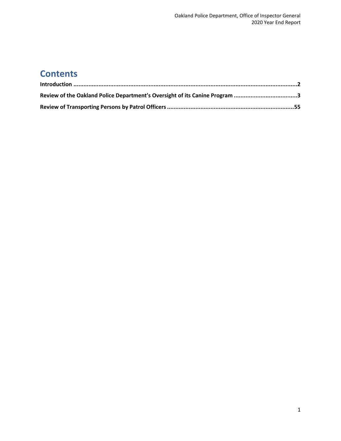## **Contents**

| Review of the Oakland Police Department's Oversight of its Canine Program 3 |  |
|-----------------------------------------------------------------------------|--|
|                                                                             |  |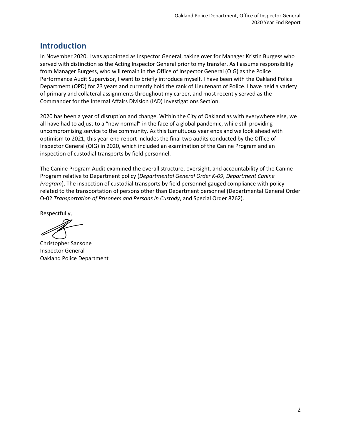### <span id="page-2-0"></span>**Introduction**

In November 2020, I was appointed as Inspector General, taking over for Manager Kristin Burgess who served with distinction as the Acting Inspector General prior to my transfer. As I assume responsibility from Manager Burgess, who will remain in the Office of Inspector General (OIG) as the Police Performance Audit Supervisor, I want to briefly introduce myself. I have been with the Oakland Police Department (OPD) for 23 years and currently hold the rank of Lieutenant of Police. I have held a variety of primary and collateral assignments throughout my career, and most recently served as the Commander for the Internal Affairs Division (IAD) Investigations Section.

2020 has been a year of disruption and change. Within the City of Oakland as with everywhere else, we all have had to adjust to a "new normal" in the face of a global pandemic, while still providing uncompromising service to the community. As this tumultuous year ends and we look ahead with optimism to 2021, this year-end report includes the final two audits conducted by the Office of Inspector General (OIG) in 2020, which included an examination of the Canine Program and an inspection of custodial transports by field personnel.

The Canine Program Audit examined the overall structure, oversight, and accountability of the Canine Program relative to Department policy (*Departmental General Order K-09, Department Canine Program*). The inspection of custodial transports by field personnel gauged compliance with policy related to the transportation of persons other than Department personnel (Departmental General Order O-02 *Transportation of Prisoners and Persons in Custody*, and Special Order 8262).

Respectfully,

Christopher Sansone Inspector General Oakland Police Department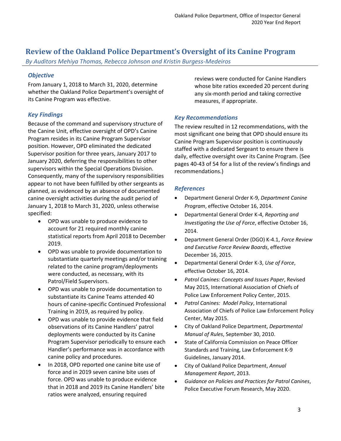### <span id="page-3-0"></span>**Review of the Oakland Police Department's Oversight of its Canine Program**

*By Auditors Mehiya Thomas, Rebecca Johnson and Kristin Burgess-Medeiros*

#### *Objective*

From January 1, 2018 to March 31, 2020, determine whether the Oakland Police Department's oversight of its Canine Program was effective.

### *Key Findings*

Because of the command and supervisory structure of the Canine Unit, effective oversight of OPD's Canine Program resides in its Canine Program Supervisor position. However, OPD eliminated the dedicated Supervisor position for three years, January 2017 to January 2020, deferring the responsibilities to other supervisors within the Special Operations Division. Consequently, many of the supervisory responsibilities appear to not have been fulfilled by other sergeants as planned, as evidenced by an absence of documented canine oversight activities during the audit period of January 1, 2018 to March 31, 2020, unless otherwise specified:

- OPD was unable to produce evidence to account for 21 required monthly canine statistical reports from April 2018 to December 2019.
- OPD was unable to provide documentation to substantiate quarterly meetings and/or training related to the canine program/deployments were conducted, as necessary, with its Patrol/Field Supervisors.
- OPD was unable to provide documentation to substantiate its Canine Teams attended 40 hours of canine-specific Continued Professional Training in 2019, as required by policy.
- OPD was unable to provide evidence that field observations of its Canine Handlers' patrol deployments were conducted by its Canine Program Supervisor periodically to ensure each Handler's performance was in accordance with canine policy and procedures.
- In 2018, OPD reported one canine bite use of force and in 2019 seven canine bite uses of force. OPD was unable to produce evidence that in 2018 and 2019 its Canine Handlers' bite ratios were analyzed, ensuring required

reviews were conducted for Canine Handlers whose bite ratios exceeded 20 percent during any six-month period and taking corrective measures, if appropriate.

#### *Key Recommendations*

The review resulted in 12 recommendations, with the most significant one being that OPD should ensure its Canine Program Supervisor position is continuously staffed with a dedicated Sergeant to ensure there is daily, effective oversight over its Canine Program. (See pages 40-43 of 54 for a list of the review's findings and recommendations.)

#### *References*

- Department General Order K-9, *Department Canine Program*, effective October 16, 2014.
- Departmental General Order K-4, *Reporting and Investigating the Use of Force*, effective October 16, 2014.
- Department General Order (DGO) K-4.1, *Force Review and Executive Force Review Boards*, effective December 16, 2015.
- Departmental General Order K-3, *Use of Force*, effective October 16, 2014.
- *Patrol Canines: Concepts and Issues Paper*, Revised May 2015, International Association of Chiefs of Police Law Enforcement Policy Center, 2015.
- *Patrol Canines: Model Policy*, International Association of Chiefs of Police Law Enforcement Policy Center, May 2015.
- City of Oakland Police Department, *Departmental Manual of Rules*, September 30, 2010.
- State of California Commission on Peace Officer Standards and Training, Law Enforcement K-9 Guidelines, January 2014.
- City of Oakland Police Department, *Annual Management Report*, 2013.
- *Guidance on Policies and Practices for Patrol Canines*, Police Executive Forum Research, May 2020.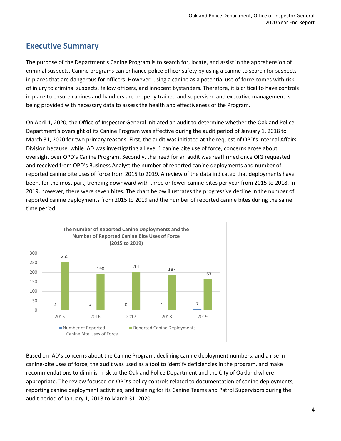### **Executive Summary**

The purpose of the Department's Canine Program is to search for, locate, and assist in the apprehension of criminal suspects. Canine programs can enhance police officer safety by using a canine to search for suspects in places that are dangerous for officers. However, using a canine as a potential use of force comes with risk of injury to criminal suspects, fellow officers, and innocent bystanders. Therefore, it is critical to have controls in place to ensure canines and handlers are properly trained and supervised and executive management is being provided with necessary data to assess the health and effectiveness of the Program.

On April 1, 2020, the Office of Inspector General initiated an audit to determine whether the Oakland Police Department's oversight of its Canine Program was effective during the audit period of January 1, 2018 to March 31, 2020 for two primary reasons. First, the audit was initiated at the request of OPD's Internal Affairs Division because, while IAD was investigating a Level 1 canine bite use of force, concerns arose about oversight over OPD's Canine Program. Secondly, the need for an audit was reaffirmed once OIG requested and received from OPD's Business Analyst the number of reported canine deployments and number of reported canine bite uses of force from 2015 to 2019. A review of the data indicated that deployments have been, for the most part, trending downward with three or fewer canine bites per year from 2015 to 2018. In 2019, however, there were seven bites. The chart below illustrates the progressive decline in the number of reported canine deployments from 2015 to 2019 and the number of reported canine bites during the same time period.



Based on IAD's concerns about the Canine Program, declining canine deployment numbers, and a rise in canine-bite uses of force, the audit was used as a tool to identify deficiencies in the program, and make recommendations to diminish risk to the Oakland Police Department and the City of Oakland where appropriate. The review focused on OPD's policy controls related to documentation of canine deployments, reporting canine deployment activities, and training for its Canine Teams and Patrol Supervisors during the audit period of January 1, 2018 to March 31, 2020.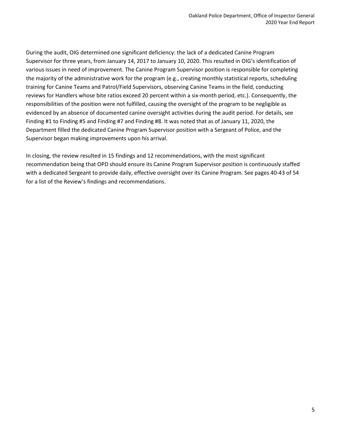During the audit, OIG determined one significant deficiency: the lack of a dedicated Canine Program Supervisor for three years, from January 14, 2017 to January 10, 2020. This resulted in OIG's identification of various issues in need of improvement. The Canine Program Supervisor position is responsible for completing the majority of the administrative work for the program (e.g., creating monthly statistical reports, scheduling training for Canine Teams and Patrol/Field Supervisors, observing Canine Teams in the field, conducting reviews for Handlers whose bite ratios exceed 20 percent within a six-month period, etc.). Consequently, the responsibilities of the position were not fulfilled, causing the oversight of the program to be negligible as evidenced by an absence of documented canine oversight activities during the audit period. For details, see Finding #1 to Finding #5 and Finding #7 and Finding #8. It was noted that as of January 11, 2020, the Department filled the dedicated Canine Program Supervisor position with a Sergeant of Police, and the Supervisor began making improvements upon his arrival.

In closing, the review resulted in 15 findings and 12 recommendations, with the most significant recommendation being that OPD should ensure its Canine Program Supervisor position is continuously staffed with a dedicated Sergeant to provide daily, effective oversight over its Canine Program. See pages 40-43 of 54 for a list of the Review's findings and recommendations.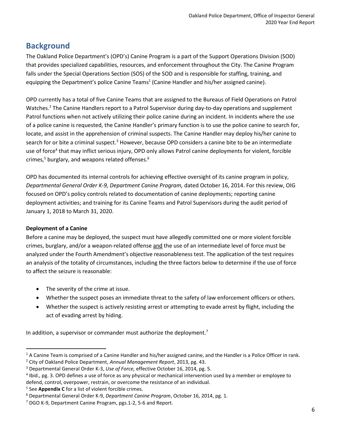### **Background**

The Oakland Police Department's (OPD's) Canine Program is a part of the Support Operations Division (SOD) that provides specialized capabilities, resources, and enforcement throughout the City. The Canine Program falls under the Special Operations Section (SOS) of the SOD and is responsible for staffing, training, and equipping the Department's police Canine Teams<sup>1</sup> (Canine Handler and his/her assigned canine).

OPD currently has a total of five Canine Teams that are assigned to the Bureaus of Field Operations on Patrol Watches.<sup>2</sup> The Canine Handlers report to a Patrol Supervisor during day-to-day operations and supplement Patrol functions when not actively utilizing their police canine during an incident. In incidents where the use of a police canine is requested, the Canine Handler's primary function is to use the police canine to search for, locate, and assist in the apprehension of criminal suspects. The Canine Handler may deploy his/her canine to search for or bite a criminal suspect.<sup>3</sup> However, because OPD considers a canine bite to be an intermediate use of force<sup>4</sup> that may inflict serious injury, OPD only allows Patrol canine deployments for violent, forcible crimes, $5$  burglary, and weapons related offenses. $6$ 

OPD has documented its internal controls for achieving effective oversight of its canine program in policy, *Departmental General Order K-9, Department Canine Program,* dated October 16, 2014. For this review, OIG focused on OPD's policy controls related to documentation of canine deployments; reporting canine deployment activities; and training for its Canine Teams and Patrol Supervisors during the audit period of January 1, 2018 to March 31, 2020.

#### **Deployment of a Canine**

Before a canine may be deployed, the suspect must have allegedly committed one or more violent forcible crimes, burglary, and/or a weapon-related offense and the use of an intermediate level of force must be analyzed under the Fourth Amendment's objective reasonableness test. The application of the test requires an analysis of the totality of circumstances, including the three factors below to determine if the use of force to affect the seizure is reasonable:

- The severity of the crime at issue.
- Whether the suspect poses an immediate threat to the safety of law enforcement officers or others.
- Whether the suspect is actively resisting arrest or attempting to evade arrest by flight, including the act of evading arrest by hiding.

In addition, a supervisor or commander must authorize the deployment.<sup>7</sup>

 $1A$  Canine Team is comprised of a Canine Handler and his/her assigned canine, and the Handler is a Police Officer in rank. <sup>2</sup> City of Oakland Police Department, *Annual Management Report*, 2013, pg. 43.

<sup>3</sup> Departmental General Order K-3, *Use of Force,* effective October 16, 2014, pg. 5.

<sup>4</sup> Ibid., pg. 3. OPD defines a use of force as any physical or mechanical intervention used by a member or employee to defend, control, overpower, restrain, or overcome the resistance of an individual.

<sup>5</sup> See **Appendix C** for a list of violent forcible crimes.

<sup>6</sup> Departmental General Order K-9, *Department Canine Program*, October 16, 2014, pg. 1.

 $7$  DGO K-9, Department Canine Program, pgs.1-2, 5-6 and Report.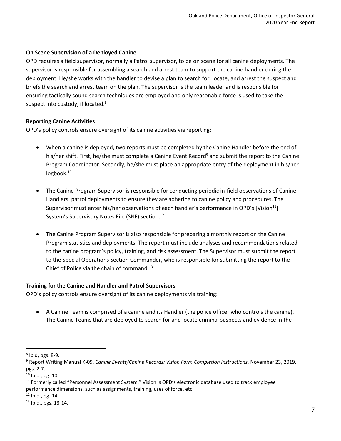#### **On Scene Supervision of a Deployed Canine**

OPD requires a field supervisor, normally a Patrol supervisor, to be on scene for all canine deployments. The supervisor is responsible for assembling a search and arrest team to support the canine handler during the deployment. He/she works with the handler to devise a plan to search for, locate, and arrest the suspect and briefs the search and arrest team on the plan. The supervisor is the team leader and is responsible for ensuring tactically sound search techniques are employed and only reasonable force is used to take the suspect into custody, if located.<sup>8</sup>

#### **Reporting Canine Activities**

OPD's policy controls ensure oversight of its canine activities via reporting:

- When a canine is deployed, two reports must be completed by the Canine Handler before the end of his/her shift. First, he/she must complete a Canine Event Record<sup>9</sup> and submit the report to the Canine Program Coordinator. Secondly, he/she must place an appropriate entry of the deployment in his/her logbook.<sup>10</sup>
- The Canine Program Supervisor is responsible for conducting periodic in-field observations of Canine Handlers' patrol deployments to ensure they are adhering to canine policy and procedures. The Supervisor must enter his/her observations of each handler's performance in OPD's [Vision<sup>11</sup>] System's Supervisory Notes File (SNF) section.<sup>12</sup>
- The Canine Program Supervisor is also responsible for preparing a monthly report on the Canine Program statistics and deployments. The report must include analyses and recommendations related to the canine program's policy, training, and risk assessment. The Supervisor must submit the report to the Special Operations Section Commander, who is responsible for submitting the report to the Chief of Police via the chain of command.<sup>13</sup>

#### **Training for the Canine and Handler and Patrol Supervisors**

OPD's policy controls ensure oversight of its canine deployments via training:

• A Canine Team is comprised of a canine and its Handler (the police officer who controls the canine). The Canine Teams that are deployed to search for and locate criminal suspects and evidence in the

<sup>8</sup> Ibid, pgs. 8-9.

<sup>9</sup> Report Writing Manual K-09, *Canine Events/Canine Records: Vision Form Completion Instructions*, November 23, 2019, pgs. 2-7.

<sup>10</sup> Ibid., pg. 10.

<sup>&</sup>lt;sup>11</sup> Formerly called "Personnel Assessment System." Vision is OPD's electronic database used to track employee performance dimensions, such as assignments, training, uses of force, etc.

 $12$  Ibid., pg. 14.

<sup>13</sup> Ibid., pgs. 13-14.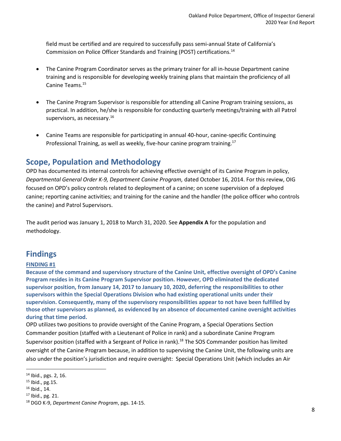field must be certified and are required to successfully pass semi-annual State of California's Commission on Police Officer Standards and Training (POST) certifications.<sup>14</sup>

- The Canine Program Coordinator serves as the primary trainer for all in-house Department canine training and is responsible for developing weekly training plans that maintain the proficiency of all Canine Teams.<sup>15</sup>
- The Canine Program Supervisor is responsible for attending all Canine Program training sessions, as practical. In addition, he/she is responsible for conducting quarterly meetings/training with all Patrol supervisors, as necessary.<sup>16</sup>
- Canine Teams are responsible for participating in annual 40-hour, canine-specific Continuing Professional Training, as well as weekly, five-hour canine program training.<sup>17</sup>

### **Scope, Population and Methodology**

OPD has documented its internal controls for achieving effective oversight of its Canine Program in policy, *Departmental General Order K-9, Department Canine Program,* dated October 16, 2014. For this review, OIG focused on OPD's policy controls related to deployment of a canine; on scene supervision of a deployed canine; reporting canine activities; and training for the canine and the handler (the police officer who controls the canine) and Patrol Supervisors.

The audit period was January 1, 2018 to March 31, 2020. See **Appendix A** for the population and methodology.

### **Findings**

#### **FINDING #1**

**Because of the command and supervisory structure of the Canine Unit, effective oversight of OPD's Canine Program resides in its Canine Program Supervisor position. However, OPD eliminated the dedicated supervisor position, from January 14, 2017 to January 10, 2020, deferring the responsibilities to other supervisors within the Special Operations Division who had existing operational units under their supervision. Consequently, many of the supervisory responsibilities appear to not have been fulfilled by those other supervisors as planned, as evidenced by an absence of documented canine oversight activities during that time period.**

OPD utilizes two positions to provide oversight of the Canine Program, a Special Operations Section Commander position (staffed with a Lieutenant of Police in rank) and a subordinate Canine Program Supervisor position (staffed with a Sergeant of Police in rank).<sup>18</sup> The SOS Commander position has limited oversight of the Canine Program because, in addition to supervising the Canine Unit, the following units are also under the position's jurisdiction and require oversight: Special Operations Unit (which includes an Air

<sup>16</sup> Ibid., 14.

<sup>14</sup> Ibid., pgs. 2, 16.

<sup>15</sup> Ibid., pg.15.

<sup>17</sup> Ibid., pg. 21.

<sup>18</sup> DGO K-9, *Department Canine Program*, pgs. 14-15.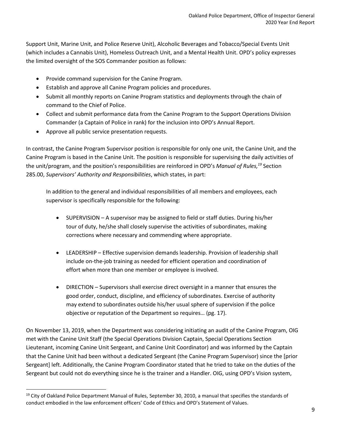Support Unit, Marine Unit, and Police Reserve Unit), Alcoholic Beverages and Tobacco/Special Events Unit (which includes a Cannabis Unit), Homeless Outreach Unit, and a Mental Health Unit. OPD's policy expresses the limited oversight of the SOS Commander position as follows:

- Provide command supervision for the Canine Program.
- Establish and approve all Canine Program policies and procedures.
- Submit all monthly reports on Canine Program statistics and deployments through the chain of command to the Chief of Police.
- Collect and submit performance data from the Canine Program to the Support Operations Division Commander (a Captain of Police in rank) for the inclusion into OPD's Annual Report.
- Approve all public service presentation requests.

In contrast, the Canine Program Supervisor position is responsible for only one unit, the Canine Unit, and the Canine Program is based in the Canine Unit. The position is responsible for supervising the daily activities of the unit/program, and the position's responsibilities are reinforced in OPD's *Manual of Rules, <sup>19</sup>* Section 285.00, *Supervisors' Authority and Responsibilities*, which states, in part:

In addition to the general and individual responsibilities of all members and employees, each supervisor is specifically responsible for the following:

- SUPERVISION A supervisor may be assigned to field or staff duties. During his/her tour of duty, he/she shall closely supervise the activities of subordinates, making corrections where necessary and commending where appropriate.
- LEADERSHIP Effective supervision demands leadership. Provision of leadership shall include on-the-job training as needed for efficient operation and coordination of effort when more than one member or employee is involved.
- DIRECTION Supervisors shall exercise direct oversight in a manner that ensures the good order, conduct, discipline, and efficiency of subordinates. Exercise of authority may extend to subordinates outside his/her usual sphere of supervision if the police objective or reputation of the Department so requires… (pg. 17).

On November 13, 2019, when the Department was considering initiating an audit of the Canine Program, OIG met with the Canine Unit Staff (the Special Operations Division Captain, Special Operations Section Lieutenant, incoming Canine Unit Sergeant, and Canine Unit Coordinator) and was informed by the Captain that the Canine Unit had been without a dedicated Sergeant (the Canine Program Supervisor) since the [prior Sergeant] left. Additionally, the Canine Program Coordinator stated that he tried to take on the duties of the Sergeant but could not do everything since he is the trainer and a Handler. OIG, using OPD's Vision system,

<sup>&</sup>lt;sup>19</sup> City of Oakland Police Department Manual of Rules, September 30, 2010, a manual that specifies the standards of conduct embodied in the law enforcement officers' Code of Ethics and OPD's Statement of Values.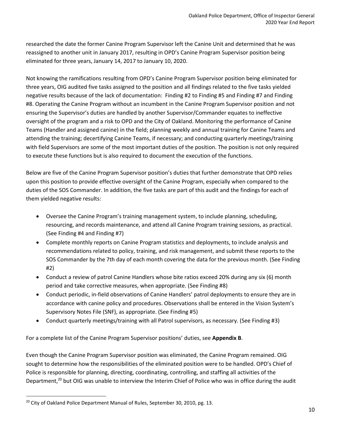researched the date the former Canine Program Supervisor left the Canine Unit and determined that he was reassigned to another unit in January 2017, resulting in OPD's Canine Program Supervisor position being eliminated for three years, January 14, 2017 to January 10, 2020.

Not knowing the ramifications resulting from OPD's Canine Program Supervisor position being eliminated for three years, OIG audited five tasks assigned to the position and all findings related to the five tasks yielded negative results because of the lack of documentation: Finding #2 to Finding #5 and Finding #7 and Finding #8. Operating the Canine Program without an incumbent in the Canine Program Supervisor position and not ensuring the Supervisor's duties are handled by another Supervisor/Commander equates to ineffective oversight of the program and a risk to OPD and the City of Oakland. Monitoring the performance of Canine Teams (Handler and assigned canine) in the field; planning weekly and annual training for Canine Teams and attending the training; decertifying Canine Teams, if necessary; and conducting quarterly meetings/training with field Supervisors are some of the most important duties of the position. The position is not only required to execute these functions but is also required to document the execution of the functions.

Below are five of the Canine Program Supervisor position's duties that further demonstrate that OPD relies upon this position to provide effective oversight of the Canine Program, especially when compared to the duties of the SOS Commander. In addition, the five tasks are part of this audit and the findings for each of them yielded negative results:

- Oversee the Canine Program's training management system, to include planning, scheduling, resourcing, and records maintenance, and attend all Canine Program training sessions, as practical. (See Finding #4 and Finding #7)
- Complete monthly reports on Canine Program statistics and deployments, to include analysis and recommendations related to policy, training, and risk management, and submit these reports to the SOS Commander by the 7th day of each month covering the data for the previous month. (See Finding #2)
- Conduct a review of patrol Canine Handlers whose bite ratios exceed 20% during any six (6) month period and take corrective measures, when appropriate. (See Finding #8)
- Conduct periodic, in-field observations of Canine Handlers' patrol deployments to ensure they are in accordance with canine policy and procedures. Observations shall be entered in the Vision System's Supervisory Notes File (SNF), as appropriate. (See Finding #5)
- Conduct quarterly meetings/training with all Patrol supervisors, as necessary. (See Finding #3)

For a complete list of the Canine Program Supervisor positions' duties, see **Appendix B**.

Even though the Canine Program Supervisor position was eliminated, the Canine Program remained. OIG sought to determine how the responsibilities of the eliminated position were to be handled. OPD's Chief of Police is responsible for planning, directing, coordinating, controlling, and staffing all activities of the Department,<sup>20</sup> but OIG was unable to interview the Interim Chief of Police who was in office during the audit

<sup>&</sup>lt;sup>20</sup> City of Oakland Police Department Manual of Rules, September 30, 2010, pg. 13.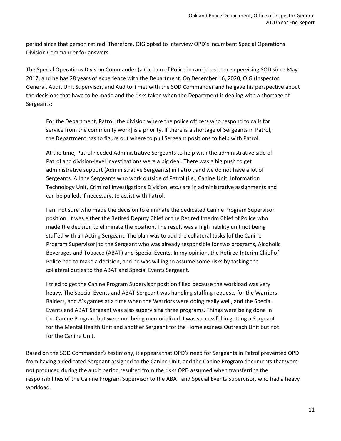period since that person retired. Therefore, OIG opted to interview OPD's incumbent Special Operations Division Commander for answers.

The Special Operations Division Commander (a Captain of Police in rank) has been supervising SOD since May 2017, and he has 28 years of experience with the Department. On December 16, 2020, OIG (Inspector General, Audit Unit Supervisor, and Auditor) met with the SOD Commander and he gave his perspective about the decisions that have to be made and the risks taken when the Department is dealing with a shortage of Sergeants:

For the Department, Patrol [the division where the police officers who respond to calls for service from the community work] is a priority. If there is a shortage of Sergeants in Patrol, the Department has to figure out where to pull Sergeant positions to help with Patrol.

At the time, Patrol needed Administrative Sergeants to help with the administrative side of Patrol and division-level investigations were a big deal. There was a big push to get administrative support (Administrative Sergeants) in Patrol, and we do not have a lot of Sergeants. All the Sergeants who work outside of Patrol (i.e., Canine Unit, Information Technology Unit, Criminal Investigations Division, etc.) are in administrative assignments and can be pulled, if necessary, to assist with Patrol.

I am not sure who made the decision to eliminate the dedicated Canine Program Supervisor position. It was either the Retired Deputy Chief or the Retired Interim Chief of Police who made the decision to eliminate the position. The result was a high liability unit not being staffed with an Acting Sergeant. The plan was to add the collateral tasks [of the Canine Program Supervisor] to the Sergeant who was already responsible for two programs, Alcoholic Beverages and Tobacco (ABAT) and Special Events. In my opinion, the Retired Interim Chief of Police had to make a decision, and he was willing to assume some risks by tasking the collateral duties to the ABAT and Special Events Sergeant.

I tried to get the Canine Program Supervisor position filled because the workload was very heavy. The Special Events and ABAT Sergeant was handling staffing requests for the Warriors, Raiders, and A's games at a time when the Warriors were doing really well, and the Special Events and ABAT Sergeant was also supervising three programs. Things were being done in the Canine Program but were not being memorialized. I was successful in getting a Sergeant for the Mental Health Unit and another Sergeant for the Homelessness Outreach Unit but not for the Canine Unit.

Based on the SOD Commander's testimony, it appears that OPD's need for Sergeants in Patrol prevented OPD from having a dedicated Sergeant assigned to the Canine Unit, and the Canine Program documents that were not produced during the audit period resulted from the risks OPD assumed when transferring the responsibilities of the Canine Program Supervisor to the ABAT and Special Events Supervisor, who had a heavy workload.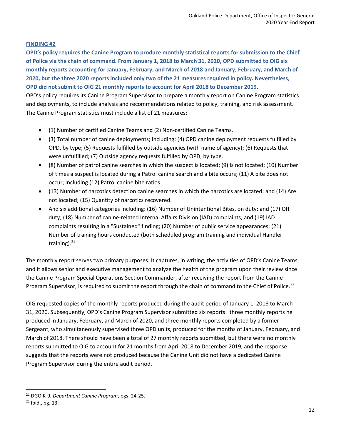#### **FINDING #2**

**OPD's policy requires the Canine Program to produce monthly statistical reports for submission to the Chief of Police via the chain of command. From January 1, 2018 to March 31, 2020, OPD submitted to OIG six monthly reports accounting for January, February, and March of 2018 and January, February, and March of 2020, but the three 2020 reports included only two of the 21 measures required in policy. Nevertheless, OPD did not submit to OIG 21 monthly reports to account for April 2018 to December 2019.** OPD's policy requires its Canine Program Supervisor to prepare a monthly report on Canine Program statistics and deployments, to include analysis and recommendations related to policy, training, and risk assessment. The Canine Program statistics must include a list of 21 measures:

- (1) Number of certified Canine Teams and (2) Non-certified Canine Teams.
- (3) Total number of canine deployments; including: (4) OPD canine deployment requests fulfilled by OPD, by type; (5) Requests fulfilled by outside agencies (with name of agency); (6) Requests that were unfulfilled; (7) Outside agency requests fulfilled by OPD, by type.
- (8) Number of patrol canine searches in which the suspect is located; (9) Is not located; (10) Number of times a suspect is located during a Patrol canine search and a bite occurs; (11) A bite does not occur; including (12) Patrol canine bite ratios.
- (13) Number of narcotics detection canine searches in which the narcotics are located; and (14) Are not located; (15) Quantity of narcotics recovered.
- And six additional categories including: (16) Number of Unintentional Bites, on duty; and (17) Off duty; (18) Number of canine-related Internal Affairs Division (IAD) complaints; and (19) IAD complaints resulting in a "Sustained" finding; (20) Number of public service appearances; (21) Number of training hours conducted (both scheduled program training and individual Handler training).<sup>21</sup>

The monthly report serves two primary purposes. It captures, in writing, the activities of OPD's Canine Teams, and it allows senior and executive management to analyze the health of the program upon their review since the Canine Program Special Operations Section Commander, after receiving the report from the Canine Program Supervisor, is required to submit the report through the chain of command to the Chief of Police.<sup>22</sup>

OIG requested copies of the monthly reports produced during the audit period of January 1, 2018 to March 31, 2020. Subsequently, OPD's Canine Program Supervisor submitted six reports: three monthly reports he produced in January, February, and March of 2020, and three monthly reports completed by a former Sergeant, who simultaneously supervised three OPD units, produced for the months of January, February, and March of 2018. There should have been a total of 27 monthly reports submitted, but there were no monthly reports submitted to OIG to account for 21 months from April 2018 to December 2019, and the response suggests that the reports were not produced because the Canine Unit did not have a dedicated Canine Program Supervisor during the entire audit period.

<sup>21</sup> DGO K-9, *Department Canine Program*, pgs. 24-25.

<sup>22</sup> Ibid., pg. 13.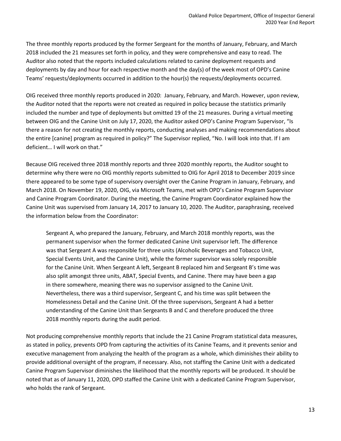The three monthly reports produced by the former Sergeant for the months of January, February, and March 2018 included the 21 measures set forth in policy, and they were comprehensive and easy to read. The Auditor also noted that the reports included calculations related to canine deployment requests and deployments by day and hour for each respective month and the day(s) of the week most of OPD's Canine Teams' requests/deployments occurred in addition to the hour(s) the requests/deployments occurred.

OIG received three monthly reports produced in 2020: January, February, and March. However, upon review, the Auditor noted that the reports were not created as required in policy because the statistics primarily included the number and type of deployments but omitted 19 of the 21 measures. During a virtual meeting between OIG and the Canine Unit on July 17, 2020, the Auditor asked OPD's Canine Program Supervisor, "Is there a reason for not creating the monthly reports, conducting analyses and making recommendations about the entire [canine] program as required in policy?" The Supervisor replied, "No. I will look into that. If I am deficient… I will work on that."

Because OIG received three 2018 monthly reports and three 2020 monthly reports, the Auditor sought to determine why there were no OIG monthly reports submitted to OIG for April 2018 to December 2019 since there appeared to be some type of supervisory oversight over the Canine Program in January, February, and March 2018. On November 19, 2020, OIG, via Microsoft Teams, met with OPD's Canine Program Supervisor and Canine Program Coordinator. During the meeting, the Canine Program Coordinator explained how the Canine Unit was supervised from January 14, 2017 to January 10, 2020. The Auditor, paraphrasing, received the information below from the Coordinator:

Sergeant A, who prepared the January, February, and March 2018 monthly reports, was the permanent supervisor when the former dedicated Canine Unit supervisor left. The difference was that Sergeant A was responsible for three units (Alcoholic Beverages and Tobacco Unit, Special Events Unit, and the Canine Unit), while the former supervisor was solely responsible for the Canine Unit. When Sergeant A left, Sergeant B replaced him and Sergeant B's time was also split amongst three units, ABAT, Special Events, and Canine. There may have been a gap in there somewhere, meaning there was no supervisor assigned to the Canine Unit. Nevertheless, there was a third supervisor, Sergeant C, and his time was split between the Homelessness Detail and the Canine Unit. Of the three supervisors, Sergeant A had a better understanding of the Canine Unit than Sergeants B and C and therefore produced the three 2018 monthly reports during the audit period.

Not producing comprehensive monthly reports that include the 21 Canine Program statistical data measures, as stated in policy, prevents OPD from capturing the activities of its Canine Teams, and it prevents senior and executive management from analyzing the health of the program as a whole, which diminishes their ability to provide additional oversight of the program, if necessary. Also, not staffing the Canine Unit with a dedicated Canine Program Supervisor diminishes the likelihood that the monthly reports will be produced. It should be noted that as of January 11, 2020, OPD staffed the Canine Unit with a dedicated Canine Program Supervisor, who holds the rank of Sergeant.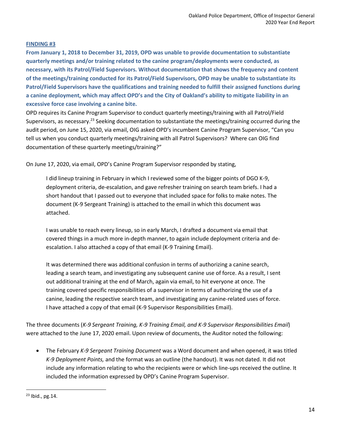#### **FINDING #3**

**From January 1, 2018 to December 31, 2019, OPD was unable to provide documentation to substantiate quarterly meetings and/or training related to the canine program/deployments were conducted, as necessary, with its Patrol/Field Supervisors. Without documentation that shows the frequency and content of the meetings/training conducted for its Patrol/Field Supervisors, OPD may be unable to substantiate its Patrol/Field Supervisors have the qualifications and training needed to fulfill their assigned functions during a canine deployment, which may affect OPD's and the City of Oakland's ability to mitigate liability in an excessive force case involving a canine bite.**

OPD requires its Canine Program Supervisor to conduct quarterly meetings/training with all Patrol/Field Supervisors, as necessary.<sup>23</sup> Seeking documentation to substantiate the meetings/training occurred during the audit period, on June 15, 2020, via email, OIG asked OPD's incumbent Canine Program Supervisor, "Can you tell us when you conduct quarterly meetings/training with all Patrol Supervisors? Where can OIG find documentation of these quarterly meetings/training?"

On June 17, 2020, via email, OPD's Canine Program Supervisor responded by stating,

I did lineup training in February in which I reviewed some of the bigger points of DGO K-9, deployment criteria, de-escalation, and gave refresher training on search team briefs. I had a short handout that I passed out to everyone that included space for folks to make notes. The document (K-9 Sergeant Training) is attached to the email in which this document was attached.

I was unable to reach every lineup, so in early March, I drafted a document via email that covered things in a much more in-depth manner, to again include deployment criteria and deescalation. I also attached a copy of that email (K-9 Training Email).

It was determined there was additional confusion in terms of authorizing a canine search, leading a search team, and investigating any subsequent canine use of force. As a result, I sent out additional training at the end of March, again via email, to hit everyone at once. The training covered specific responsibilities of a supervisor in terms of authorizing the use of a canine, leading the respective search team, and investigating any canine-related uses of force. I have attached a copy of that email (K-9 Supervisor Responsibilities Email).

The three documents (*K-9 Sergeant Training, K-9 Training Email, and K-9 Supervisor Responsibilities Email*) were attached to the June 17, 2020 email. Upon review of documents, the Auditor noted the following:

• The February *K-9 Sergeant Training Document* was a Word document and when opened, it was titled *K-9 Deployment Points,* and the format was an outline (the handout). It was not dated. It did not include any information relating to who the recipients were or which line-ups received the outline. It included the information expressed by OPD's Canine Program Supervisor.

<sup>23</sup> Ibid., pg.14.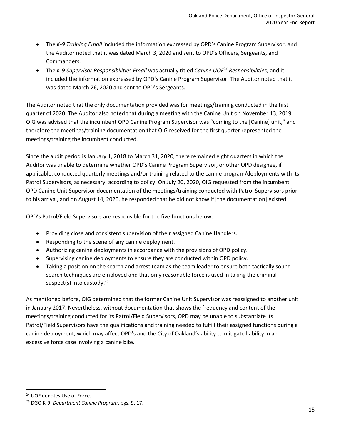- The *K-9 Training Email* included the information expressed by OPD's Canine Program Supervisor, and the Auditor noted that it was dated March 3, 2020 and sent to OPD's Officers, Sergeants, and Commanders.
- The *K-9 Supervisor Responsibilities Email* was actually titled *Canine UOF<sup>24</sup> Responsibilities*, and it included the information expressed by OPD's Canine Program Supervisor. The Auditor noted that it was dated March 26, 2020 and sent to OPD's Sergeants.

The Auditor noted that the only documentation provided was for meetings/training conducted in the first quarter of 2020. The Auditor also noted that during a meeting with the Canine Unit on November 13, 2019, OIG was advised that the incumbent OPD Canine Program Supervisor was "coming to the [Canine] unit," and therefore the meetings/training documentation that OIG received for the first quarter represented the meetings/training the incumbent conducted.

Since the audit period is January 1, 2018 to March 31, 2020, there remained eight quarters in which the Auditor was unable to determine whether OPD's Canine Program Supervisor, or other OPD designee, if applicable, conducted quarterly meetings and/or training related to the canine program/deployments with its Patrol Supervisors, as necessary, according to policy. On July 20, 2020, OIG requested from the incumbent OPD Canine Unit Supervisor documentation of the meetings/training conducted with Patrol Supervisors prior to his arrival, and on August 14, 2020, he responded that he did not know if [the documentation] existed.

OPD's Patrol/Field Supervisors are responsible for the five functions below:

- Providing close and consistent supervision of their assigned Canine Handlers.
- Responding to the scene of any canine deployment.
- Authorizing canine deployments in accordance with the provisions of OPD policy.
- Supervising canine deployments to ensure they are conducted within OPD policy.
- Taking a position on the search and arrest team as the team leader to ensure both tactically sound search techniques are employed and that only reasonable force is used in taking the criminal suspect(s) into custody.<sup>25</sup>

As mentioned before, OIG determined that the former Canine Unit Supervisor was reassigned to another unit in January 2017. Nevertheless, without documentation that shows the frequency and content of the meetings/training conducted for its Patrol/Field Supervisors, OPD may be unable to substantiate its Patrol/Field Supervisors have the qualifications and training needed to fulfill their assigned functions during a canine deployment, which may affect OPD's and the City of Oakland's ability to mitigate liability in an excessive force case involving a canine bite.

<sup>24</sup> UOF denotes Use of Force.

<sup>25</sup> DGO K-9, *Department Canine Program*, pgs. 9, 17.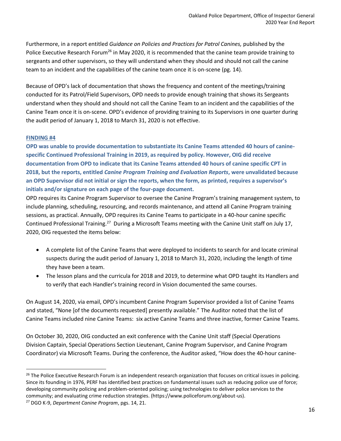Furthermore, in a report entitled *Guidance on Policies and Practices for Patrol Canines,* published by the Police Executive Research Forum<sup>26</sup> in May 2020, it is recommended that the canine team provide training to sergeants and other supervisors, so they will understand when they should and should not call the canine team to an incident and the capabilities of the canine team once it is on-scene (pg. 14).

Because of OPD's lack of documentation that shows the frequency and content of the meetings/training conducted for its Patrol/Field Supervisors, OPD needs to provide enough training that shows its Sergeants understand when they should and should not call the Canine Team to an incident and the capabilities of the Canine Team once it is on-scene. OPD's evidence of providing training to its Supervisors in one quarter during the audit period of January 1, 2018 to March 31, 2020 is not effective.

#### **FINDING #4**

**OPD was unable to provide documentation to substantiate its Canine Teams attended 40 hours of caninespecific Continued Professional Training in 2019, as required by policy. However, OIG did receive documentation from OPD to indicate that its Canine Teams attended 40 hours of canine specific CPT in 2018, but the reports, entitled** *Canine Program Training and Evaluation Reports***, were unvalidated because an OPD Supervisor did not initial or sign the reports, when the form, as printed, requires a supervisor's initials and/or signature on each page of the four-page document.**

OPD requires its Canine Program Supervisor to oversee the Canine Program's training management system, to include planning, scheduling, resourcing, and records maintenance, and attend all Canine Program training sessions, as practical. Annually, OPD requires its Canine Teams to participate in a 40-hour canine specific Continued Professional Training.<sup>27</sup> During a Microsoft Teams meeting with the Canine Unit staff on July 17, 2020, OIG requested the items below:

- A complete list of the Canine Teams that were deployed to incidents to search for and locate criminal suspects during the audit period of January 1, 2018 to March 31, 2020, including the length of time they have been a team.
- The lesson plans and the curricula for 2018 and 2019, to determine what OPD taught its Handlers and to verify that each Handler's training record in Vision documented the same courses.

On August 14, 2020, via email, OPD's incumbent Canine Program Supervisor provided a list of Canine Teams and stated, "None [of the documents requested] presently available." The Auditor noted that the list of Canine Teams included nine Canine Teams: six active Canine Teams and three inactive, former Canine Teams.

On October 30, 2020, OIG conducted an exit conference with the Canine Unit staff (Special Operations Division Captain, Special Operations Section Lieutenant, Canine Program Supervisor, and Canine Program Coordinator) via Microsoft Teams. During the conference, the Auditor asked, "How does the 40-hour canine-

<sup>&</sup>lt;sup>26</sup> The Police Executive Research Forum is an independent research organization that focuses on critical issues in policing. Since its founding in 1976, PERF has identified best practices on fundamental issues such as reducing police use of force; developing community policing and problem-oriented policing; using technologies to deliver police services to the community; and evaluating crime reduction strategies. (https://www.policeforum.org/about-us).

<sup>27</sup> DGO K-9, *Department Canine Program*, pgs. 14, 21.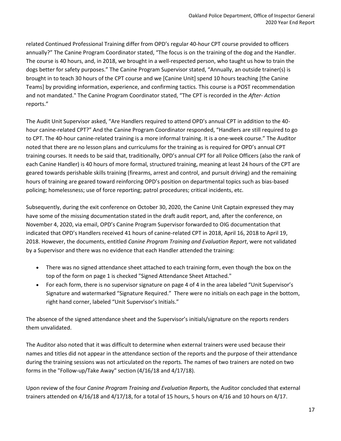related Continued Professional Training differ from OPD's regular 40-hour CPT course provided to officers annually?" The Canine Program Coordinator stated, "The focus is on the training of the dog and the Handler. The course is 40 hours, and, in 2018, we brought in a well-respected person, who taught us how to train the dogs better for safety purposes." The Canine Program Supervisor stated, "Annually, an outside trainer(s) is brought in to teach 30 hours of the CPT course and we [Canine Unit] spend 10 hours teaching [the Canine Teams] by providing information, experience, and confirming tactics. This course is a POST recommendation and not mandated." The Canine Program Coordinator stated, "The CPT is recorded in the *After- Action* reports."

The Audit Unit Supervisor asked, "Are Handlers required to attend OPD's annual CPT in addition to the 40 hour canine-related CPT?" And the Canine Program Coordinator responded, "Handlers are still required to go to CPT. The 40-hour canine-related training is a more informal training. It is a one-week course." The Auditor noted that there are no lesson plans and curriculums for the training as is required for OPD's annual CPT training courses. It needs to be said that, traditionally, OPD's annual CPT for all Police Officers (also the rank of each Canine Handler) is 40 hours of more formal, structured training, meaning at least 24 hours of the CPT are geared towards perishable skills training (firearms, arrest and control, and pursuit driving) and the remaining hours of training are geared toward reinforcing OPD's position on departmental topics such as bias-based policing; homelessness; use of force reporting; patrol procedures; critical incidents, etc.

Subsequently, during the exit conference on October 30, 2020, the Canine Unit Captain expressed they may have some of the missing documentation stated in the draft audit report, and, after the conference, on November 4, 2020, via email, OPD's Canine Program Supervisor forwarded to OIG documentation that indicated that OPD's Handlers received 41 hours of canine-related CPT in 2018, April 16, 2018 to April 19, 2018. However, the documents, entitled *Canine Program Training and Evaluation Report*, were not validated by a Supervisor and there was no evidence that each Handler attended the training:

- There was no signed attendance sheet attached to each training form, even though the box on the top of the form on page 1 is checked "Signed Attendance Sheet Attached."
- For each form, there is no supervisor signature on page 4 of 4 in the area labeled "Unit Supervisor's Signature and watermarked "Signature Required." There were no initials on each page in the bottom, right hand corner, labeled "Unit Supervisor's Initials."

The absence of the signed attendance sheet and the Supervisor's initials/signature on the reports renders them unvalidated.

The Auditor also noted that it was difficult to determine when external trainers were used because their names and titles did not appear in the attendance section of the reports and the purpose of their attendance during the training sessions was not articulated on the reports. The names of two trainers are noted on two forms in the "Follow-up/Take Away" section (4/16/18 and 4/17/18).

Upon review of the four *Canine Program Training and Evaluation Reports,* the Auditor concluded that external trainers attended on 4/16/18 and 4/17/18, for a total of 15 hours, 5 hours on 4/16 and 10 hours on 4/17.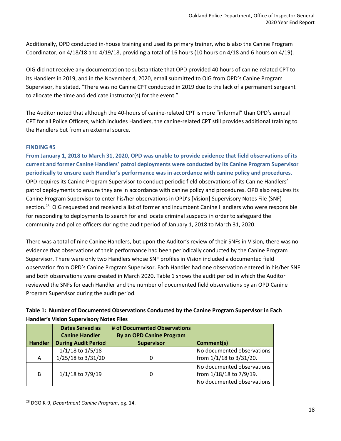Additionally, OPD conducted in-house training and used its primary trainer, who is also the Canine Program Coordinator, on 4/18/18 and 4/19/18, providing a total of 16 hours (10 hours on 4/18 and 6 hours on 4/19).

OIG did not receive any documentation to substantiate that OPD provided 40 hours of canine-related CPT to its Handlers in 2019, and in the November 4, 2020, email submitted to OIG from OPD's Canine Program Supervisor, he stated, "There was no Canine CPT conducted in 2019 due to the lack of a permanent sergeant to allocate the time and dedicate instructor(s) for the event."

The Auditor noted that although the 40-hours of canine-related CPT is more "informal" than OPD's annual CPT for all Police Officers, which includes Handlers, the canine-related CPT still provides additional training to the Handlers but from an external source.

#### **FINDING #5**

**From January 1, 2018 to March 31, 2020, OPD was unable to provide evidence that field observations of its current and former Canine Handlers' patrol deployments were conducted by its Canine Program Supervisor periodically to ensure each Handler's performance was in accordance with canine policy and procedures.**  OPD requires its Canine Program Supervisor to conduct periodic field observations of its Canine Handlers' patrol deployments to ensure they are in accordance with canine policy and procedures. OPD also requires its Canine Program Supervisor to enter his/her observations in OPD's [Vision] Supervisory Notes File (SNF) section.<sup>28</sup> OIG requested and received a list of former and incumbent Canine Handlers who were responsible for responding to deployments to search for and locate criminal suspects in order to safeguard the community and police officers during the audit period of January 1, 2018 to March 31, 2020.

There was a total of nine Canine Handlers, but upon the Auditor's review of their SNFs in Vision, there was no evidence that observations of their performance had been periodically conducted by the Canine Program Supervisor. There were only two Handlers whose SNF profiles in Vision included a documented field observation from OPD's Canine Program Supervisor. Each Handler had one observation entered in his/her SNF and both observations were created in March 2020. Table 1 shows the audit period in which the Auditor reviewed the SNFs for each Handler and the number of documented field observations by an OPD Canine Program Supervisor during the audit period.

| Table 1: Number of Documented Observations Conducted by the Canine Program Supervisor in Each |
|-----------------------------------------------------------------------------------------------|
| <b>Handler's Vision Supervisory Notes Files</b>                                               |

|                | <b>Dates Served as</b>     | # of Documented Observations    |                            |
|----------------|----------------------------|---------------------------------|----------------------------|
|                | <b>Canine Handler</b>      | <b>By an OPD Canine Program</b> |                            |
| <b>Handler</b> | <b>During Audit Period</b> | <b>Supervisor</b>               | Comment(s)                 |
|                | $1/1/18$ to $1/5/18$       |                                 | No documented observations |
| A              | 1/25/18 to 3/31/20         |                                 | from 1/1/18 to 3/31/20.    |
|                |                            |                                 | No documented observations |
| B              | 1/1/18 to 7/9/19           |                                 | from 1/18/18 to 7/9/19.    |
|                |                            |                                 | No documented observations |

<sup>28</sup> DGO K-9, *Department Canine Program*, pg. 14.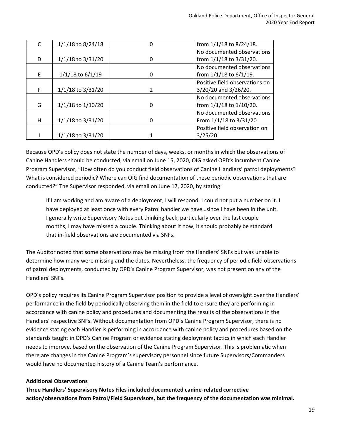|   | 1/1/18 to 8/24/18    |   | from 1/1/18 to 8/24/18.        |
|---|----------------------|---|--------------------------------|
|   |                      |   | No documented observations     |
| D | 1/1/18 to 3/31/20    | O | from 1/1/18 to 3/31/20.        |
|   |                      |   | No documented observations     |
| F | $1/1/18$ to $6/1/19$ | O | from 1/1/18 to 6/1/19.         |
|   |                      |   | Positive field observations on |
| F | 1/1/18 to 3/31/20    |   | 3/20/20 and 3/26/20.           |
|   |                      |   | No documented observations     |
| G | 1/1/18 to 1/10/20    | n | from 1/1/18 to 1/10/20.        |
|   |                      |   | No documented observations     |
| н | 1/1/18 to 3/31/20    | O | From 1/1/18 to 3/31/20         |
|   |                      |   | Positive field observation on  |
|   | 1/1/18 to 3/31/20    |   | $3/25/20$ .                    |

Because OPD's policy does not state the number of days, weeks, or months in which the observations of Canine Handlers should be conducted, via email on June 15, 2020, OIG asked OPD's incumbent Canine Program Supervisor, "How often do you conduct field observations of Canine Handlers' patrol deployments? What is considered periodic? Where can OIG find documentation of these periodic observations that are conducted?" The Supervisor responded, via email on June 17, 2020, by stating:

If I am working and am aware of a deployment, I will respond. I could not put a number on it. I have deployed at least once with every Patrol handler we have…since I have been in the unit. I generally write Supervisory Notes but thinking back, particularly over the last couple months, I may have missed a couple. Thinking about it now, it should probably be standard that in-field observations are documented via SNFs.

The Auditor noted that some observations may be missing from the Handlers' SNFs but was unable to determine how many were missing and the dates. Nevertheless, the frequency of periodic field observations of patrol deployments, conducted by OPD's Canine Program Supervisor, was not present on any of the Handlers' SNFs.

OPD's policy requires its Canine Program Supervisor position to provide a level of oversight over the Handlers' performance in the field by periodically observing them in the field to ensure they are performing in accordance with canine policy and procedures and documenting the results of the observations in the Handlers' respective SNFs. Without documentation from OPD's Canine Program Supervisor, there is no evidence stating each Handler is performing in accordance with canine policy and procedures based on the standards taught in OPD's Canine Program or evidence stating deployment tactics in which each Handler needs to improve, based on the observation of the Canine Program Supervisor. This is problematic when there are changes in the Canine Program's supervisory personnel since future Supervisors/Commanders would have no documented history of a Canine Team's performance.

#### **Additional Observations**

**Three Handlers' Supervisory Notes Files included documented canine-related corrective action/observations from Patrol/Field Supervisors, but the frequency of the documentation was minimal.**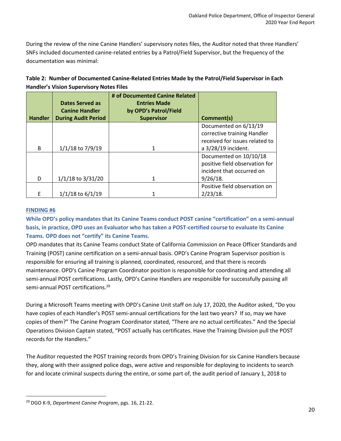During the review of the nine Canine Handlers' supervisory notes files, the Auditor noted that three Handlers' SNFs included documented canine-related entries by a Patrol/Field Supervisor, but the frequency of the documentation was minimal:

| Table 2: Number of Documented Canine-Related Entries Made by the Patrol/Field Supervisor in Each |
|--------------------------------------------------------------------------------------------------|
| <b>Handler's Vision Supervisory Notes Files</b>                                                  |

|                | Dates Served as<br><b>Canine Handler</b> | # of Documented Canine Related<br><b>Entries Made</b><br>by OPD's Patrol/Field |                                                                                       |
|----------------|------------------------------------------|--------------------------------------------------------------------------------|---------------------------------------------------------------------------------------|
| <b>Handler</b> | <b>During Audit Period</b>               | <b>Supervisor</b>                                                              | Comment(s)                                                                            |
|                |                                          |                                                                                | Documented on 6/13/19                                                                 |
|                |                                          |                                                                                | corrective training Handler                                                           |
|                |                                          |                                                                                | received for issues related to                                                        |
| B              | $1/1/18$ to $7/9/19$                     | 1                                                                              | a 3/28/19 incident.                                                                   |
|                |                                          |                                                                                | Documented on 10/10/18<br>positive field observation for<br>incident that occurred on |
| D              | 1/1/18 to 3/31/20                        | 1                                                                              | 9/26/18.                                                                              |
|                |                                          |                                                                                | Positive field observation on                                                         |
| F              | $1/1/18$ to $6/1/19$                     |                                                                                | $2/23/18$ .                                                                           |

#### **FINDING #6**

**While OPD's policy mandates that its Canine Teams conduct POST canine "certification" on a semi-annual basis, in practice, OPD uses an Evaluator who has taken a POST-certified course to evaluate its Canine Teams. OPD does not "certify" its Canine Teams.**

OPD mandates that its Canine Teams conduct State of California Commission on Peace Officer Standards and Training (POST) canine certification on a semi-annual basis. OPD's Canine Program Supervisor position is responsible for ensuring all training is planned, coordinated, resourced, and that there is records maintenance. OPD's Canine Program Coordinator position is responsible for coordinating and attending all semi-annual POST certifications. Lastly, OPD's Canine Handlers are responsible for successfully passing all semi-annual POST certifications.<sup>29</sup>

During a Microsoft Teams meeting with OPD's Canine Unit staff on July 17, 2020, the Auditor asked, "Do you have copies of each Handler's POST semi-annual certifications for the last two years? If so, may we have copies of them?" The Canine Program Coordinator stated, "There are no actual certificates." And the Special Operations Division Captain stated, "POST actually has certificates. Have the Training Division pull the POST records for the Handlers."

The Auditor requested the POST training records from OPD's Training Division for six Canine Handlers because they, along with their assigned police dogs, were active and responsible for deploying to incidents to search for and locate criminal suspects during the entire, or some part of, the audit period of January 1, 2018 to

<sup>29</sup> DGO K-9, *Department Canine Program*, pgs. 16, 21-22.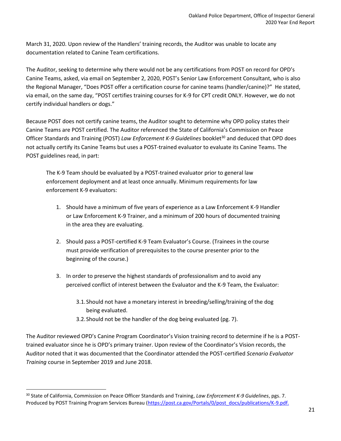March 31, 2020. Upon review of the Handlers' training records, the Auditor was unable to locate any documentation related to Canine Team certifications.

The Auditor, seeking to determine why there would not be any certifications from POST on record for OPD's Canine Teams, asked, via email on September 2, 2020, POST's Senior Law Enforcement Consultant, who is also the Regional Manager, "Does POST offer a certification course for canine teams (handler/canine)?" He stated, via email, on the same day, "POST certifies training courses for K-9 for CPT credit ONLY. However, we do not certify individual handlers or dogs."

Because POST does not certify canine teams, the Auditor sought to determine why OPD policy states their Canine Teams are POST certified. The Auditor referenced the State of California's Commission on Peace Officer Standards and Training (POST) Law Enforcement K-9 Guidelines booklet<sup>30</sup> and deduced that OPD does not actually certify its Canine Teams but uses a POST-trained evaluator to evaluate its Canine Teams. The POST guidelines read, in part:

The K-9 Team should be evaluated by a POST-trained evaluator prior to general law enforcement deployment and at least once annually. Minimum requirements for law enforcement K-9 evaluators:

- 1. Should have a minimum of five years of experience as a Law Enforcement K-9 Handler or Law Enforcement K-9 Trainer, and a minimum of 200 hours of documented training in the area they are evaluating.
- 2. Should pass a POST-certified K-9 Team Evaluator's Course. (Trainees in the course must provide verification of prerequisites to the course presenter prior to the beginning of the course.)
- 3. In order to preserve the highest standards of professionalism and to avoid any perceived conflict of interest between the Evaluator and the K-9 Team, the Evaluator:
	- 3.1.Should not have a monetary interest in breeding/selling/training of the dog being evaluated.
	- 3.2.Should not be the handler of the dog being evaluated (pg. 7).

The Auditor reviewed OPD's Canine Program Coordinator's Vision training record to determine if he is a POSTtrained evaluator since he is OPD's primary trainer. Upon review of the Coordinator's Vision records, the Auditor noted that it was documented that the Coordinator attended the POST-certified *Scenario Evaluator Training* course in September 2019 and June 2018.

<sup>30</sup> State of California, Commission on Peace Officer Standards and Training, *Law Enforcement K-9 Guidelines*, pgs. 7. Produced by POST Training Program Services Bureau [\(https://post.ca.gov/Portals/0/post\\_docs/publications/K-9.pdf.](https://post.ca.gov/Portals/0/post_docs/publications/K-9.pdf)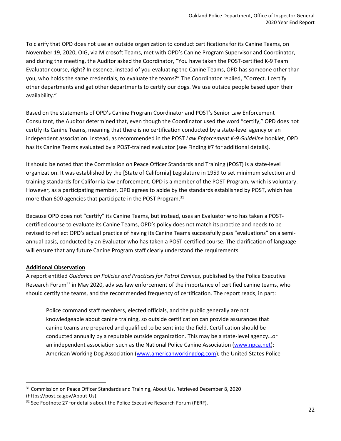To clarify that OPD does not use an outside organization to conduct certifications for its Canine Teams, on November 19, 2020, OIG, via Microsoft Teams, met with OPD's Canine Program Supervisor and Coordinator, and during the meeting, the Auditor asked the Coordinator, "You have taken the POST-certified K-9 Team Evaluator course, right? In essence, instead of you evaluating the Canine Teams, OPD has someone other than you, who holds the same credentials, to evaluate the teams?" The Coordinator replied, "Correct. I certify other departments and get other departments to certify our dogs. We use outside people based upon their availability."

Based on the statements of OPD's Canine Program Coordinator and POST's Senior Law Enforcement Consultant, the Auditor determined that, even though the Coordinator used the word "certify," OPD does not certify its Canine Teams, meaning that there is no certification conducted by a state-level agency or an independent association. Instead, as recommended in the POST *Law Enforcement K-9 Guideline* booklet, OPD has its Canine Teams evaluated by a POST-trained evaluator (see Finding #7 for additional details).

It should be noted that the Commission on Peace Officer Standards and Training (POST) is a state-level organization. It was established by the [State of California] Legislature in 1959 to set minimum selection and training standards for California law enforcement. OPD is a member of the POST Program, which is voluntary. However, as a participating member, OPD agrees to abide by the standards established by POST, which has more than 600 agencies that participate in the POST Program.<sup>31</sup>

Because OPD does not "certify" its Canine Teams, but instead, uses an Evaluator who has taken a POSTcertified course to evaluate its Canine Teams, OPD's policy does not match its practice and needs to be revised to reflect OPD's actual practice of having its Canine Teams successfully pass "evaluations" on a semiannual basis, conducted by an Evaluator who has taken a POST-certified course. The clarification of language will ensure that any future Canine Program staff clearly understand the requirements.

#### **Additional Observation**

A report entitled *Guidance on Policies and Practices for Patrol Canines,* published by the Police Executive Research Forum<sup>32</sup> in May 2020, advises law enforcement of the importance of certified canine teams, who should certify the teams, and the recommended frequency of certification. The report reads, in part:

Police command staff members, elected officials, and the public generally are not knowledgeable about canine training, so outside certification can provide assurances that canine teams are prepared and qualified to be sent into the field. Certification should be conducted annually by a reputable outside organization. This may be a state-level agency…or an independent association such as the National Police Canine Association [\(www.npca.net\)](http://www.npca.net/); American Working Dog Association [\(www.americanworkingdog.com\)](http://www.americanworkingdog.com/); the United States Police

 $31$  Commission on Peace Officer Standards and Training, About Us. Retrieved December 8, 2020 (https://post.ca.gov/About-Us).

 $32$  See Footnote 27 for details about the Police Executive Research Forum (PERF).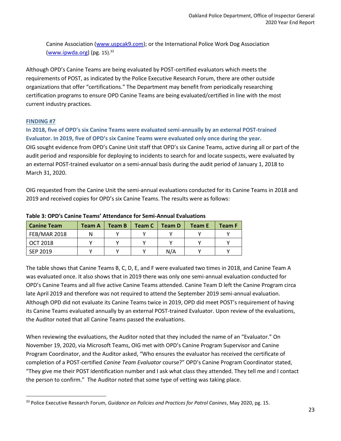Canine Association [\(www.uspcak9.com\)](http://www.uspcak9.com/); or the International Police Work Dog Association [\(www.ipwda.org\)](http://www.ipwda.org/) (pg.  $15$ ).<sup>33</sup>

Although OPD's Canine Teams are being evaluated by POST-certified evaluators which meets the requirements of POST, as indicated by the Police Executive Research Forum, there are other outside organizations that offer "certifications." The Department may benefit from periodically researching certification programs to ensure OPD Canine Teams are being evaluated/certified in line with the most current industry practices.

#### **FINDING #7**

**In 2018, five of OPD's six Canine Teams were evaluated semi-annually by an external POST-trained Evaluator. In 2019, five of OPD's six Canine Teams were evaluated only once during the year.**  OIG sought evidence from OPD's Canine Unit staff that OPD's six Canine Teams, active during all or part of the audit period and responsible for deploying to incidents to search for and locate suspects, were evaluated by an external POST-trained evaluator on a semi-annual basis during the audit period of January 1, 2018 to March 31, 2020.

OIG requested from the Canine Unit the semi-annual evaluations conducted for its Canine Teams in 2018 and 2019 and received copies for OPD's six Canine Teams. The results were as follows:

| <b>Canine Team</b>  | <b>Team A</b> | <b>Team B</b> | Team C | Team D | Team E | <b>Team F</b> |
|---------------------|---------------|---------------|--------|--------|--------|---------------|
| <b>FEB/MAR 2018</b> | N             |               |        |        |        |               |
| OCT 2018            |               |               |        |        |        |               |
| SEP 2019            |               |               |        | N/A    |        |               |

#### **Table 3: OPD's Canine Teams' Attendance for Semi-Annual Evaluations**

The table shows that Canine Teams B, C, D, E, and F were evaluated two times in 2018, and Canine Team A was evaluated once. It also shows that in 2019 there was only one semi-annual evaluation conducted for OPD's Canine Teams and all five active Canine Teams attended. Canine Team D left the Canine Program circa late April 2019 and therefore was not required to attend the September 2019 semi-annual evaluation. Although OPD did not evaluate its Canine Teams twice in 2019, OPD did meet POST's requirement of having its Canine Teams evaluated annually by an external POST-trained Evaluator. Upon review of the evaluations, the Auditor noted that all Canine Teams passed the evaluations.

When reviewing the evaluations, the Auditor noted that they included the name of an "Evaluator." On November 19, 2020, via Microsoft Teams, OIG met with OPD's Canine Program Supervisor and Canine Program Coordinator, and the Auditor asked, "Who ensures the evaluator has received the certificate of completion of a POST-certified *Canine Team Evaluator* course?" OPD's Canine Program Coordinator stated, "They give me their POST identification number and I ask what class they attended. They tell me and I contact the person to confirm." The Auditor noted that some type of vetting was taking place.

<sup>33</sup> Police Executive Research Forum, *Guidance on Policies and Practices for Patrol Canines*, May 2020, pg. 15.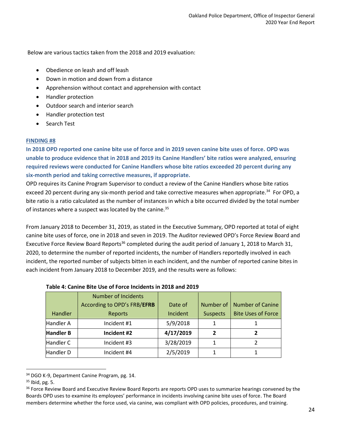Below are various tactics taken from the 2018 and 2019 evaluation:

- Obedience on leash and off leash
- Down in motion and down from a distance
- Apprehension without contact and apprehension with contact
- Handler protection
- Outdoor search and interior search
- Handler protection test
- Search Test

#### **FINDING #8**

**In 2018 OPD reported one canine bite use of force and in 2019 seven canine bite uses of force. OPD was unable to produce evidence that in 2018 and 2019 its Canine Handlers' bite ratios were analyzed, ensuring required reviews were conducted for Canine Handlers whose bite ratios exceeded 20 percent during any six-month period and taking corrective measures, if appropriate.**

OPD requires its Canine Program Supervisor to conduct a review of the Canine Handlers whose bite ratios exceed 20 percent during any six-month period and take corrective measures when appropriate.<sup>34</sup> For OPD, a bite ratio is a ratio calculated as the number of instances in which a bite occurred divided by the total number of instances where a suspect was located by the canine.<sup>35</sup>

From January 2018 to December 31, 2019, as stated in the Executive Summary, OPD reported at total of eight canine bite uses of force, one in 2018 and seven in 2019. The Auditor reviewed OPD's Force Review Board and Executive Force Review Board Reports<sup>36</sup> completed during the audit period of January 1, 2018 to March 31, 2020, to determine the number of reported incidents, the number of Handlers reportedly involved in each incident, the reported number of subjects bitten in each incident, and the number of reported canine bites in each incident from January 2018 to December 2019, and the results were as follows:

|                  | <b>Number of Incidents</b>  |           |                 |                           |
|------------------|-----------------------------|-----------|-----------------|---------------------------|
|                  | According to OPD's FRB/EFRB | Date of   | Number of       | <b>Number of Canine</b>   |
| Handler          | Reports                     | Incident  | <b>Suspects</b> | <b>Bite Uses of Force</b> |
| Handler A        | Incident #1                 | 5/9/2018  |                 |                           |
| <b>Handler B</b> | Incident #2                 | 4/17/2019 | 2               |                           |
| Handler C        | Incident #3                 | 3/28/2019 |                 |                           |
| Handler D        | Incident #4                 | 2/5/2019  |                 |                           |

#### **Table 4: Canine Bite Use of Force Incidents in 2018 and 2019**

<sup>&</sup>lt;sup>34</sup> DGO K-9, Department Canine Program, pg. 14.

<sup>35</sup> Ibid, pg. 5.

<sup>&</sup>lt;sup>36</sup> Force Review Board and Executive Review Board Reports are reports OPD uses to summarize hearings convened by the Boards OPD uses to examine its employees' performance in incidents involving canine bite uses of force. The Board members determine whether the force used, via canine, was compliant with OPD policies, procedures, and training.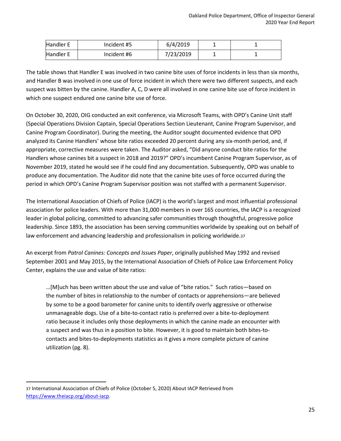| <b>Handler E</b> | Incident #5 | 6/4/2019  |  |
|------------------|-------------|-----------|--|
| Handler E        | Incident #6 | 7/23/2019 |  |

The table shows that Handler E was involved in two canine bite uses of force incidents in less than six months, and Handler B was involved in one use of force incident in which there were two different suspects, and each suspect was bitten by the canine. Handler A, C, D were all involved in one canine bite use of force incident in which one suspect endured one canine bite use of force.

On October 30, 2020, OIG conducted an exit conference, via Microsoft Teams, with OPD's Canine Unit staff (Special Operations Division Captain, Special Operations Section Lieutenant, Canine Program Supervisor, and Canine Program Coordinator). During the meeting, the Auditor sought documented evidence that OPD analyzed its Canine Handlers' whose bite ratios exceeded 20 percent during any six-month period, and, if appropriate, corrective measures were taken. The Auditor asked, "Did anyone conduct bite ratios for the Handlers whose canines bit a suspect in 2018 and 2019?" OPD's incumbent Canine Program Supervisor, as of November 2019, stated he would see if he could find any documentation. Subsequently, OPD was unable to produce any documentation. The Auditor did note that the canine bite uses of force occurred during the period in which OPD's Canine Program Supervisor position was not staffed with a permanent Supervisor.

The International Association of Chiefs of Police (IACP) is the world's largest and most influential professional association for police leaders. With more than 31,000 members in over 165 countries, the IACP is a recognized leader in global policing, committed to advancing safer communities through thoughtful, progressive police leadership. Since 1893, the association has been serving communities worldwide by speaking out on behalf of law enforcement and advancing leadership and professionalism in policing worldwide.37

An excerpt from *Patrol Canines: Concepts and Issues Paper*, originally published May 1992 and revised September 2001 and May 2015, by the International Association of Chiefs of Police Law Enforcement Policy Center, explains the use and value of bite ratios:

…[M]uch has been written about the use and value of "bite ratios." Such ratios—based on the number of bites in relationship to the number of contacts or apprehensions—are believed by some to be a good barometer for canine units to identify overly aggressive or otherwise unmanageable dogs. Use of a bite-to-contact ratio is preferred over a bite-to-deployment ratio because it includes only those deployments in which the canine made an encounter with a suspect and was thus in a position to bite. However, it is good to maintain both bites-tocontacts and bites-to-deployments statistics as it gives a more complete picture of canine utilization (pg. 8).

<sup>37</sup> International Association of Chiefs of Police (October 5, 2020) About IACP Retrieved from <https://www.theiacp.org/about-iacp>.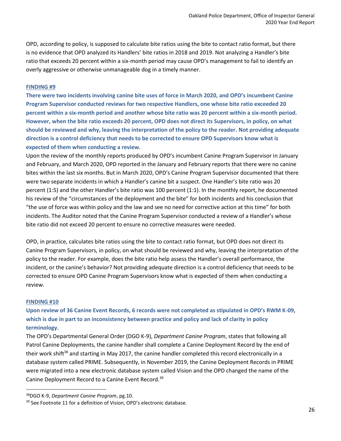OPD, according to policy, is supposed to calculate bite ratios using the bite to contact ratio format, but there is no evidence that OPD analyzed its Handlers' bite ratios in 2018 and 2019. Not analyzing a Handler's bite ratio that exceeds 20 percent within a six-month period may cause OPD's management to fail to identify an overly aggressive or otherwise unmanageable dog in a timely manner.

#### **FINDING #9**

**There were two incidents involving canine bite uses of force in March 2020, and OPD's incumbent Canine Program Supervisor conducted reviews for two respective Handlers, one whose bite ratio exceeded 20 percent within a six-month period and another whose bite ratio was 20 percent within a six-month period. However, when the bite ratio exceeds 20 percent, OPD does not direct its Supervisors, in policy, on what should be reviewed and why, leaving the interpretation of the policy to the reader. Not providing adequate direction is a control deficiency that needs to be corrected to ensure OPD Supervisors know what is expected of them when conducting a review.**

Upon the review of the monthly reports produced by OPD's incumbent Canine Program Supervisor in January and February, and March 2020, OPD reported in the January and February reports that there were no canine bites within the last six months. But in March 2020, OPD's Canine Program Supervisor documented that there were two separate incidents in which a Handler's canine bit a suspect. One Handler's bite ratio was 20 percent (1:5) and the other Handler's bite ratio was 100 percent (1:1). In the monthly report, he documented his review of the "circumstances of the deployment and the bite" for both incidents and his conclusion that "the use of force was within policy and the law and see no need for corrective action at this time" for both incidents. The Auditor noted that the Canine Program Supervisor conducted a review of a Handler's whose bite ratio did not exceed 20 percent to ensure no corrective measures were needed.

OPD, in practice, calculates bite ratios using the bite to contact ratio format, but OPD does not direct its Canine Program Supervisors, in policy, on what should be reviewed and why, leaving the interpretation of the policy to the reader. For example, does the bite ratio help assess the Handler's overall performance, the incident, or the canine's behavior? Not providing adequate direction is a control deficiency that needs to be corrected to ensure OPD Canine Program Supervisors know what is expected of them when conducting a review.

#### **FINDING #10**

**Upon review of 36 Canine Event Records, 6 records were not completed as stipulated in OPD's RWM K-09, which is due in part to an inconsistency between practice and policy and lack of clarity in policy terminology.** 

The OPD's Departmental General Order (DGO K-9), *Department Canine Program*, states that following all Patrol Canine Deployments, the canine handler shall complete a Canine Deployment Record by the end of their work shift<sup>38</sup> and starting in May 2017, the canine handler completed this record electronically in a database system called PRIME. Subsequently, in November 2019, the Canine Deployment Records in PRIME were migrated into a new electronic database system called Vision and the OPD changed the name of the Canine Deployment Record to a Canine Event Record.<sup>39</sup>

<sup>38</sup>DGO K-9, *Department Canine Program*, pg.10.

<sup>&</sup>lt;sup>39</sup> See Footnote 11 for a definition of Vision, OPD's electronic database.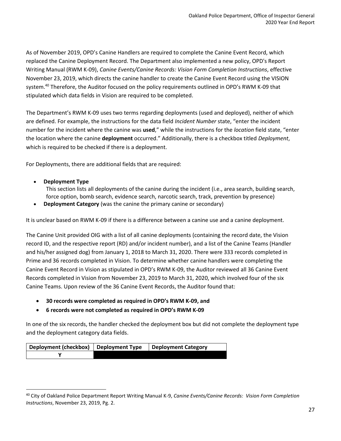As of November 2019, OPD's Canine Handlers are required to complete the Canine Event Record, which replaced the Canine Deployment Record. The Department also implemented a new policy, OPD's Report Writing Manual (RWM K-09), *Canine Events/Canine Records: Vision Form Completion Instructions*, effective November 23, 2019, which directs the canine handler to create the Canine Event Record using the VISION system.<sup>40</sup> Therefore, the Auditor focused on the policy requirements outlined in OPD's RWM K-09 that stipulated which data fields in Vision are required to be completed.

The Department's RWM K-09 uses two terms regarding deployments (used and deployed), neither of which are defined. For example, the instructions for the data field *Incident Number* state, "enter the incident number for the incident where the canine was **used**," while the instructions for the *location* field state, "enter the location where the canine **deployment** occurred." Additionally, there is a checkbox titled *Deployment*, which is required to be checked if there is a deployment.

For Deployments, there are additional fields that are required:

• **Deployment Type** 

This section lists all deployments of the canine during the incident (i.e., area search, building search, force option, bomb search, evidence search, narcotic search, track, prevention by presence)

**Deployment Category** (was the canine the primary canine or secondary)

It is unclear based on RWM K-09 if there is a difference between a canine use and a canine deployment.

The Canine Unit provided OIG with a list of all canine deployments (containing the record date, the Vision record ID, and the respective report (RD) and/or incident number), and a list of the Canine Teams (Handler and his/her assigned dog) from January 1, 2018 to March 31, 2020. There were 333 records completed in Prime and 36 records completed in Vision. To determine whether canine handlers were completing the Canine Event Record in Vision as stipulated in OPD's RWM K-09, the Auditor reviewed all 36 Canine Event Records completed in Vision from November 23, 2019 to March 31, 2020, which involved four of the six Canine Teams. Upon review of the 36 Canine Event Records, the Auditor found that:

- **30 records were completed as required in OPD's RWM K-09, and**
- **6 records were not completed as required in OPD's RWM K-09**

In one of the six records, the handler checked the deployment box but did not complete the deployment type and the deployment category data fields.

| Deployment (checkbox) Deployment Type | Deployment Category |
|---------------------------------------|---------------------|
|                                       |                     |

<sup>40</sup> City of Oakland Police Department Report Writing Manual K-9, *Canine Events/Canine Records: Vision Form Completion Instructions*, November 23, 2019, Pg. 2.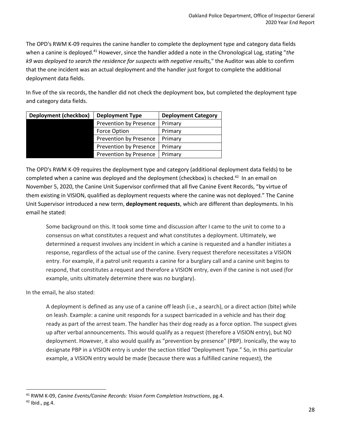The OPD's RWM K-09 requires the canine handler to complete the deployment type and category data fields when a canine is deployed.<sup>41</sup> However, since the handler added a note in the Chronological Log, stating "the *k9 was deployed to search the residence for suspects with negative results,*" the Auditor was able to confirm that the one incident was an actual deployment and the handler just forgot to complete the additional deployment data fields.

In five of the six records, the handler did not check the deployment box, but completed the deployment type and category data fields.

| <b>Deployment (checkbox)</b> | <b>Deployment Type</b>        | <b>Deployment Category</b> |
|------------------------------|-------------------------------|----------------------------|
|                              | Prevention by Presence        | Primary                    |
|                              | <b>Force Option</b>           | Primary                    |
|                              | <b>Prevention by Presence</b> | Primary                    |
|                              | <b>Prevention by Presence</b> | Primary                    |
|                              | Prevention by Presence        | Primary                    |

The OPD's RWM K-09 requires the deployment type and category (additional deployment data fields) to be completed when a canine was deployed and the deployment (checkbox) is checked.<sup>42</sup> In an email on November 5, 2020, the Canine Unit Supervisor confirmed that all five Canine Event Records, "by virtue of them existing in VISION, qualified as deployment requests where the canine was not deployed." The Canine Unit Supervisor introduced a new term, **deployment requests**, which are different than deployments. In his email he stated:

Some background on this. It took some time and discussion after I came to the unit to come to a consensus on what constitutes a request and what constitutes a deployment. Ultimately, we determined a request involves any incident in which a canine is requested and a handler initiates a response, regardless of the actual use of the canine. Every request therefore necessitates a VISION entry. For example, if a patrol unit requests a canine for a burglary call and a canine unit begins to respond, that constitutes a request and therefore a VISION entry, even if the canine is not used (for example, units ultimately determine there was no burglary).

In the email, he also stated:

A deployment is defined as any use of a canine off leash (i.e., a search), or a direct action (bite) while on leash. Example: a canine unit responds for a suspect barricaded in a vehicle and has their dog ready as part of the arrest team. The handler has their dog ready as a force option. The suspect gives up after verbal announcements. This would qualify as a request (therefore a VISION entry), but NO deployment. However, it also would qualify as "prevention by presence" (PBP). Ironically, the way to designate PBP in a VISION entry is under the section titled "Deployment Type." So, in this particular example, a VISION entry would be made (because there was a fulfilled canine request), the

<sup>41</sup> RWM K-09, *Canine Events/Canine Records: Vision Form Completion Instructions*, pg.4.

 $42$  Ibid., pg.4.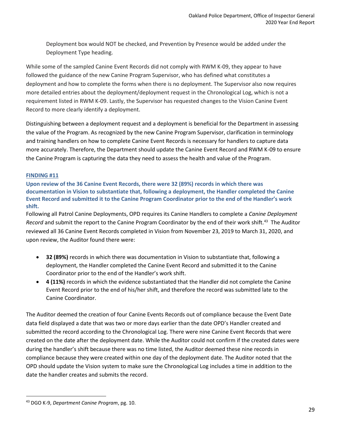Deployment box would NOT be checked, and Prevention by Presence would be added under the Deployment Type heading.

While some of the sampled Canine Event Records did not comply with RWM K-09, they appear to have followed the guidance of the new Canine Program Supervisor, who has defined what constitutes a deployment and how to complete the forms when there is no deployment. The Supervisor also now requires more detailed entries about the deployment/deployment request in the Chronological Log, which is not a requirement listed in RWM K-09. Lastly, the Supervisor has requested changes to the Vision Canine Event Record to more clearly identify a deployment.

Distinguishing between a deployment request and a deployment is beneficial for the Department in assessing the value of the Program. As recognized by the new Canine Program Supervisor, clarification in terminology and training handlers on how to complete Canine Event Records is necessary for handlers to capture data more accurately. Therefore, the Department should update the Canine Event Record and RWM K-09 to ensure the Canine Program is capturing the data they need to assess the health and value of the Program.

#### **FINDING #11**

**Upon review of the 36 Canine Event Records, there were 32 (89%) records in which there was documentation in Vision to substantiate that, following a deployment, the Handler completed the Canine Event Record and submitted it to the Canine Program Coordinator prior to the end of the Handler's work shift.**

Following all Patrol Canine Deployments, OPD requires its Canine Handlers to complete a *Canine Deployment Record* and submit the report to the Canine Program Coordinator by the end of their work shift.<sup>43</sup> The Auditor reviewed all 36 Canine Event Records completed in Vision from November 23, 2019 to March 31, 2020, and upon review, the Auditor found there were:

- **32 (89%)** records in which there was documentation in Vision to substantiate that, following a deployment, the Handler completed the Canine Event Record and submitted it to the Canine Coordinator prior to the end of the Handler's work shift.
- **4 (11%)** records in which the evidence substantiated that the Handler did not complete the Canine Event Record prior to the end of his/her shift, and therefore the record was submitted late to the Canine Coordinator.

The Auditor deemed the creation of four Canine Events Records out of compliance because the Event Date data field displayed a date that was two or more days earlier than the date OPD's Handler created and submitted the record according to the Chronological Log. There were nine Canine Event Records that were created on the date after the deployment date. While the Auditor could not confirm if the created dates were during the handler's shift because there was no time listed, the Auditor deemed these nine records in compliance because they were created within one day of the deployment date. The Auditor noted that the OPD should update the Vision system to make sure the Chronological Log includes a time in addition to the date the handler creates and submits the record.

<sup>43</sup> DGO K-9, *Department Canine Program*, pg. 10.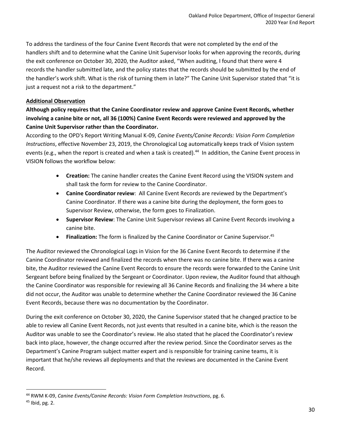To address the tardiness of the four Canine Event Records that were not completed by the end of the handlers shift and to determine what the Canine Unit Supervisor looks for when approving the records, during the exit conference on October 30, 2020, the Auditor asked, "When auditing, I found that there were 4 records the handler submitted late, and the policy states that the records should be submitted by the end of the handler's work shift. What is the risk of turning them in late?" The Canine Unit Supervisor stated that "it is just a request not a risk to the department."

#### **Additional Observation**

#### **Although policy requires that the Canine Coordinator review and approve Canine Event Records, whether involving a canine bite or not, all 36 (100%) Canine Event Records were reviewed and approved by the Canine Unit Supervisor rather than the Coordinator.**

According to the OPD's Report Writing Manual K-09, *Canine Events/Canine Records: Vision Form Completion Instructions*, effective November 23, 2019, the Chronological Log automatically keeps track of Vision system events (e.g., when the report is created and when a task is created).<sup>44</sup> In addition, the Canine Event process in VISION follows the workflow below:

- **Creation:** The canine handler creates the Canine Event Record using the VISION system and shall task the form for review to the Canine Coordinator.
- **Canine Coordinator review**: All Canine Event Records are reviewed by the Department's Canine Coordinator. If there was a canine bite during the deployment, the form goes to Supervisor Review, otherwise, the form goes to Finalization.
- **Supervisor Review**: The Canine Unit Supervisor reviews all Canine Event Records involving a canine bite.
- **Finalization:** The form is finalized by the Canine Coordinator or Canine Supervisor.<sup>45</sup>

The Auditor reviewed the Chronological Logs in Vision for the 36 Canine Event Records to determine if the Canine Coordinator reviewed and finalized the records when there was no canine bite. If there was a canine bite, the Auditor reviewed the Canine Event Records to ensure the records were forwarded to the Canine Unit Sergeant before being finalized by the Sergeant or Coordinator. Upon review, the Auditor found that although the Canine Coordinator was responsible for reviewing all 36 Canine Records and finalizing the 34 where a bite did not occur, the Auditor was unable to determine whether the Canine Coordinator reviewed the 36 Canine Event Records, because there was no documentation by the Coordinator.

During the exit conference on October 30, 2020, the Canine Supervisor stated that he changed practice to be able to review all Canine Event Records, not just events that resulted in a canine bite, which is the reason the Auditor was unable to see the Coordinator's review. He also stated that he placed the Coordinator's review back into place, however, the change occurred after the review period. Since the Coordinator serves as the Department's Canine Program subject matter expert and is responsible for training canine teams, it is important that he/she reviews all deployments and that the reviews are documented in the Canine Event Record.

<sup>44</sup> RWM K-09, *Canine Events/Canine Records: Vision Form Completion Instructions*, pg. 6.

 $45$  Ibid, pg. 2.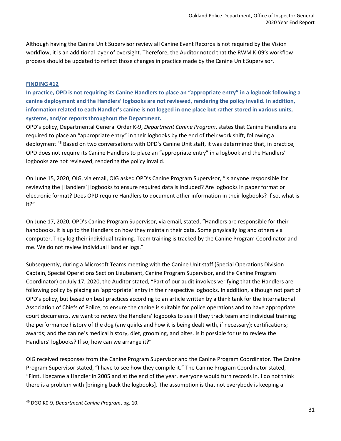Although having the Canine Unit Supervisor review all Canine Event Records is not required by the Vision workflow, it is an additional layer of oversight. Therefore, the Auditor noted that the RWM K-09's workflow process should be updated to reflect those changes in practice made by the Canine Unit Supervisor.

#### **FINDING #12**

**In practice, OPD is not requiring its Canine Handlers to place an "appropriate entry" in a logbook following a canine deployment and the Handlers' logbooks are not reviewed, rendering the policy invalid. In addition, information related to each Handler's canine is not logged in one place but rather stored in various units, systems, and/or reports throughout the Department.**

OPD's policy, Departmental General Order K-9, *Department Canine Program*, states that Canine Handlers are required to place an "appropriate entry" in their logbooks by the end of their work shift, following a deployment.<sup>46</sup> Based on two conversations with OPD's Canine Unit staff, it was determined that, in practice, OPD does not require its Canine Handlers to place an "appropriate entry" in a logbook and the Handlers' logbooks are not reviewed, rendering the policy invalid.

On June 15, 2020, OIG, via email, OIG asked OPD's Canine Program Supervisor, "Is anyone responsible for reviewing the [Handlers'] logbooks to ensure required data is included? Are logbooks in paper format or electronic format? Does OPD require Handlers to document other information in their logbooks? If so, what is it?"

On June 17, 2020, OPD's Canine Program Supervisor, via email, stated, "Handlers are responsible for their handbooks. It is up to the Handlers on how they maintain their data. Some physically log and others via computer. They log their individual training. Team training is tracked by the Canine Program Coordinator and me. We do not review individual Handler logs."

Subsequently, during a Microsoft Teams meeting with the Canine Unit staff (Special Operations Division Captain, Special Operations Section Lieutenant, Canine Program Supervisor, and the Canine Program Coordinator) on July 17, 2020, the Auditor stated, "Part of our audit involves verifying that the Handlers are following policy by placing an 'appropriate' entry in their respective logbooks. In addition, although not part of OPD's policy, but based on best practices according to an article written by a think tank for the International Association of Chiefs of Police, to ensure the canine is suitable for police operations and to have appropriate court documents, we want to review the Handlers' logbooks to see if they track team and individual training; the performance history of the dog (any quirks and how it is being dealt with, if necessary); certifications; awards; and the canine's medical history, diet, grooming, and bites. Is it possible for us to review the Handlers' logbooks? If so, how can we arrange it?"

OIG received responses from the Canine Program Supervisor and the Canine Program Coordinator. The Canine Program Supervisor stated, "I have to see how they compile it." The Canine Program Coordinator stated, "First, I became a Handler in 2005 and at the end of the year, everyone would turn records in. I do not think there is a problem with [bringing back the logbooks]. The assumption is that not everybody is keeping a

<sup>46</sup> DGO K0-9, *Department Canine Program*, pg. 10.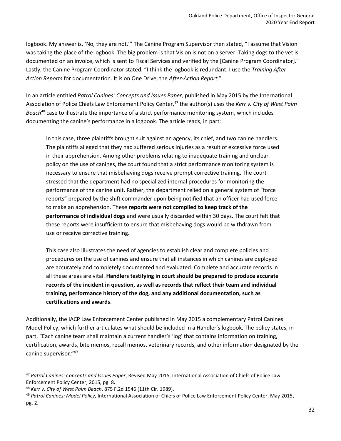logbook. My answer is, 'No, they are not.'" The Canine Program Supervisor then stated, "I assume that Vision was taking the place of the logbook. The big problem is that Vision is not on a server. Taking dogs to the vet is documented on an invoice, which is sent to Fiscal Services and verified by the [Canine Program Coordinator]." Lastly, the Canine Program Coordinator stated, "I think the logbook is redundant. I use the *Training After-Action Reports* for documentation. It is on One Drive, the *After-Action Report*."

In an article entitled *Patrol Canines: Concepts and Issues Paper,* published in May 2015 by the International Association of Police Chiefs Law Enforcement Policy Center,<sup>47</sup> the author(s) uses the *Kerr v. City of West Palm Beach*<sup>48</sup> case to illustrate the importance of a strict performance monitoring system, which includes documenting the canine's performance in a logbook. The article reads, in part:

In this case, three plaintiffs brought suit against an agency, its chief, and two canine handlers. The plaintiffs alleged that they had suffered serious injuries as a result of excessive force used in their apprehension. Among other problems relating to inadequate training and unclear policy on the use of canines, the court found that a strict performance monitoring system is necessary to ensure that misbehaving dogs receive prompt corrective training. The court stressed that the department had no specialized internal procedures for monitoring the performance of the canine unit. Rather, the department relied on a general system of "force reports" prepared by the shift commander upon being notified that an officer had used force to make an apprehension. These **reports were not compiled to keep track of the performance of individual dogs** and were usually discarded within 30 days. The court felt that these reports were insufficient to ensure that misbehaving dogs would be withdrawn from use or receive corrective training.

This case also illustrates the need of agencies to establish clear and complete policies and procedures on the use of canines and ensure that all instances in which canines are deployed are accurately and completely documented and evaluated. Complete and accurate records in all these areas are vital. **Handlers testifying in court should be prepared to produce accurate records of the incident in question, as well as records that reflect their team and individual training, performance history of the dog, and any additional documentation, such as certifications and awards**.

Additionally, the IACP Law Enforcement Center published in May 2015 a complementary Patrol Canines Model Policy, which further articulates what should be included in a Handler's logbook. The policy states, in part, "Each canine team shall maintain a current handler's 'log' that contains information on training, certification, awards, bite memos, recall memos, veterinary records, and other information designated by the canine supervisor."<sup>49</sup>

<sup>47</sup> *Patrol Canines: Concepts and Issues Paper*, Revised May 2015, International Association of Chiefs of Police Law Enforcement Policy Center, 2015, pg. 8.

<sup>48</sup> *Kerr v. City of West Palm Beach*, 875 F.2d 1546 (11th Cir. 1989).

<sup>49</sup> *Patrol Canines: Model Policy*, International Association of Chiefs of Police Law Enforcement Policy Center, May 2015, pg. 2.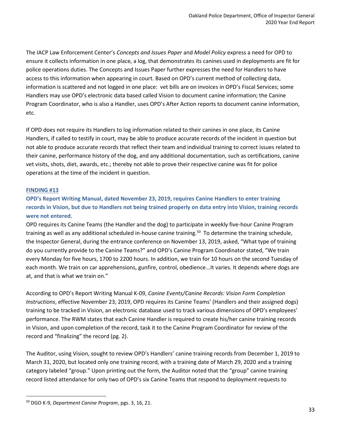The IACP Law Enforcement Center's *Concepts and Issues Paper* and *Model Policy* express a need for OPD to ensure it collects information in one place, a log, that demonstrates its canines used in deployments are fit for police operations duties. The Concepts and Issues Paper further expresses the need for Handlers to have access to this information when appearing in court. Based on OPD's current method of collecting data, information is scattered and not logged in one place: vet bills are on invoices in OPD's Fiscal Services; some Handlers may use OPD's electronic data based called Vision to document canine information; the Canine Program Coordinator, who is also a Handler, uses OPD's After Action reports to document canine information, etc.

If OPD does not require its Handlers to log information related to their canines in one place, its Canine Handlers, if called to testify in court, may be able to produce accurate records of the incident in question but not able to produce accurate records that reflect their team and individual training to correct issues related to their canine, performance history of the dog, and any additional documentation, such as certifications, canine vet visits, shots, diet, awards, etc.; thereby not able to prove their respective canine was fit for police operations at the time of the incident in question.

#### **FINDING #13**

#### **OPD's Report Writing Manual, dated November 23, 2019, requires Canine Handlers to enter training records in Vision, but due to Handlers not being trained properly on data entry into Vision, training records were not entered.**

OPD requires its Canine Teams (the Handler and the dog) to participate in weekly five-hour Canine Program training as well as any additional scheduled in-house canine training.<sup>50</sup> To determine the training schedule, the Inspector General, during the entrance conference on November 13, 2019, asked, "What type of training do you currently provide to the Canine Teams?" and OPD's Canine Program Coordinator stated, "We train every Monday for five hours, 1700 to 2200 hours. In addition, we train for 10 hours on the second Tuesday of each month. We train on car apprehensions, gunfire, control, obedience...It varies. It depends where dogs are at, and that is what we train on."

According to OPD's Report Writing Manual K-09, *Canine Events/Canine Records: Vision Form Completion Instructions*, effective November 23, 2019, OPD requires its Canine Teams' (Handlers and their assigned dogs) training to be tracked in Vision, an electronic database used to track various dimensions of OPD's employees' performance. The RWM states that each Canine Handler is required to create his/her canine training records in Vision, and upon completion of the record, task it to the Canine Program Coordinator for review of the record and "finalizing" the record (pg. 2).

The Auditor, using Vision, sought to review OPD's Handlers' canine training records from December 1, 2019 to March 31, 2020, but located only one training record, with a training date of March 29, 2020 and a training category labeled "group." Upon printing out the form, the Auditor noted that the "group" canine training record listed attendance for only two of OPD's six Canine Teams that respond to deployment requests to

<sup>50</sup> DGO K-9, *Department Canine Program*, pgs. 3, 16, 21.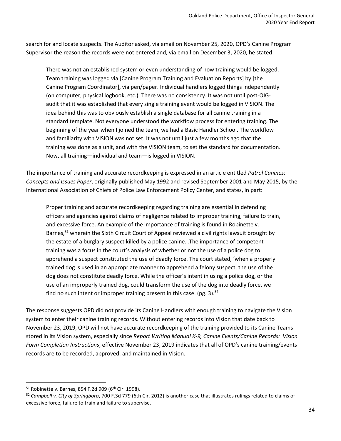search for and locate suspects. The Auditor asked, via email on November 25, 2020, OPD's Canine Program Supervisor the reason the records were not entered and, via email on December 3, 2020, he stated:

There was not an established system or even understanding of how training would be logged. Team training was logged via [Canine Program Training and Evaluation Reports] by [the Canine Program Coordinator], via pen/paper. Individual handlers logged things independently (on computer, physical logbook, etc.). There was no consistency. It was not until post-OIGaudit that it was established that every single training event would be logged in VISION. The idea behind this was to obviously establish a single database for all canine training in a standard template. Not everyone understood the workflow process for entering training. The beginning of the year when I joined the team, we had a Basic Handler School. The workflow and familiarity with VISION was not set. It was not until just a few months ago that the training was done as a unit, and with the VISION team, to set the standard for documentation. Now, all training—individual and team—is logged in VISION.

The importance of training and accurate recordkeeping is expressed in an article entitled *Patrol Canines: Concepts and Issues Paper*, originally published May 1992 and revised September 2001 and May 2015, by the International Association of Chiefs of Police Law Enforcement Policy Center, and states, in part:

Proper training and accurate recordkeeping regarding training are essential in defending officers and agencies against claims of negligence related to improper training, failure to train, and excessive force. An example of the importance of training is found in Robinette v. Barnes,<sup>51</sup> wherein the Sixth Circuit Court of Appeal reviewed a civil rights lawsuit brought by the estate of a burglary suspect killed by a police canine…The importance of competent training was a focus in the court's analysis of whether or not the use of a police dog to apprehend a suspect constituted the use of deadly force. The court stated, 'when a properly trained dog is used in an appropriate manner to apprehend a felony suspect, the use of the dog does not constitute deadly force. While the officer's intent in using a police dog, or the use of an improperly trained dog, could transform the use of the dog into deadly force, we find no such intent or improper training present in this case. (pg. 3). $52$ 

The response suggests OPD did not provide its Canine Handlers with enough training to navigate the Vision system to enter their canine training records. Without entering records into Vision that date back to November 23, 2019, OPD will not have accurate recordkeeping of the training provided to its Canine Teams stored in its Vision system, especially since *Report Writing Manual K-9, Canine Events/Canine Records: Vision Form Completion Instructions*, effective November 23, 2019 indicates that all of OPD's canine training/events records are to be recorded, approved, and maintained in Vision.

 $51$  Robinette v. Barnes, 854 F.2d 909 (6<sup>th</sup> Cir. 1998).

<sup>52</sup> *Campbell v. City of Springboro*, 700 F.3d 779 (6th Cir. 2012) is another case that illustrates rulings related to claims of excessive force, failure to train and failure to supervise.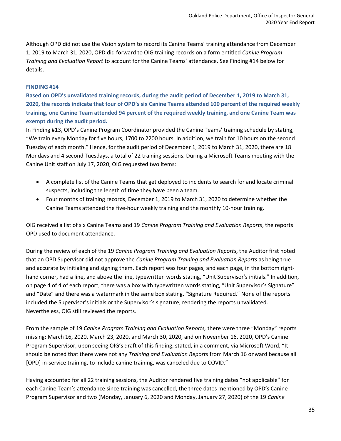Although OPD did not use the Vision system to record its Canine Teams' training attendance from December 1, 2019 to March 31, 2020, OPD did forward to OIG training records on a form entitled *Canine Program Training and Evaluation Report* to account for the Canine Teams' attendance. See Finding #14 below for details.

#### **FINDING #14**

**Based on OPD's unvalidated training records, during the audit period of December 1, 2019 to March 31, 2020, the records indicate that four of OPD's six Canine Teams attended 100 percent of the required weekly training, one Canine Team attended 94 percent of the required weekly training, and one Canine Team was exempt during the audit period.** 

In Finding #13, OPD's Canine Program Coordinator provided the Canine Teams' training schedule by stating, "We train every Monday for five hours, 1700 to 2200 hours. In addition, we train for 10 hours on the second Tuesday of each month." Hence, for the audit period of December 1, 2019 to March 31, 2020, there are 18 Mondays and 4 second Tuesdays, a total of 22 training sessions. During a Microsoft Teams meeting with the Canine Unit staff on July 17, 2020, OIG requested two items:

- A complete list of the Canine Teams that get deployed to incidents to search for and locate criminal suspects, including the length of time they have been a team.
- Four months of training records, December 1, 2019 to March 31, 2020 to determine whether the Canine Teams attended the five-hour weekly training and the monthly 10-hour training.

OIG received a list of six Canine Teams and 19 *Canine Program Training and Evaluation Reports*, the reports OPD used to document attendance.

During the review of each of the 19 *Canine Program Training and Evaluation Reports*, the Auditor first noted that an OPD Supervisor did not approve the *Canine Program Training and Evaluation Reports* as being true and accurate by initialing and signing them. Each report was four pages, and each page, in the bottom righthand corner, had a line, and above the line, typewritten words stating, "Unit Supervisor's initials." In addition, on page 4 of 4 of each report, there was a box with typewritten words stating, "Unit Supervisor's Signature" and "Date" and there was a watermark in the same box stating, "Signature Required." None of the reports included the Supervisor's initials or the Supervisor's signature, rendering the reports unvalidated. Nevertheless, OIG still reviewed the reports.

From the sample of 19 *Canine Program Training and Evaluation Reports,* there were three "Monday" reports missing: March 16, 2020, March 23, 2020, and March 30, 2020, and on November 16, 2020, OPD's Canine Program Supervisor, upon seeing OIG's draft of this finding, stated, in a comment, via Microsoft Word, "It should be noted that there were not any *Training and Evaluation Reports* from March 16 onward because all [OPD] in-service training, to include canine training, was canceled due to COVID."

Having accounted for all 22 training sessions, the Auditor rendered five training dates "not applicable" for each Canine Team's attendance since training was cancelled, the three dates mentioned by OPD's Canine Program Supervisor and two (Monday, January 6, 2020 and Monday, January 27, 2020) of the 19 *Canine*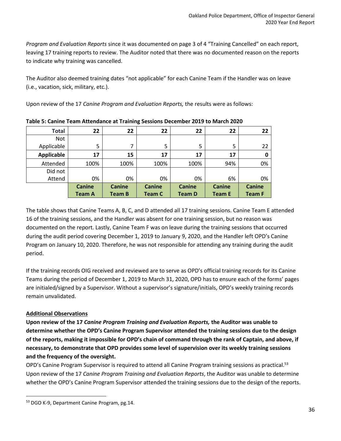*Program and Evaluation Reports* since it was documented on page 3 of 4 "Training Cancelled" on each report, leaving 17 training reports to review. The Auditor noted that there was no documented reason on the reports to indicate why training was cancelled.

The Auditor also deemed training dates "not applicable" for each Canine Team if the Handler was on leave (i.e., vacation, sick, military, etc.).

Upon review of the 17 *Canine Program and Evaluation Reports,* the results were as follows:

| <b>Total</b> | 22            | 22            | 22            | 22            | 22            | 22            |
|--------------|---------------|---------------|---------------|---------------|---------------|---------------|
| <b>Not</b>   |               |               |               |               |               |               |
| Applicable   | 5             | 7             | 5             | 5             | 5             | 22            |
| Applicable   | 17            | 15            | 17            | 17            | 17            | O             |
| Attended     | 100%          | 100%          | 100%          | 100%          | 94%           | 0%            |
| Did not      |               |               |               |               |               |               |
| Attend       | 0%            | 0%            | 0%            | 0%            | 6%            | 0%            |
|              | <b>Canine</b> | <b>Canine</b> | <b>Canine</b> | <b>Canine</b> | <b>Canine</b> | <b>Canine</b> |
|              | <b>Team A</b> | <b>Team B</b> | <b>Team C</b> | <b>Team D</b> | <b>Team E</b> | <b>Team F</b> |

**Table 5: Canine Team Attendance at Training Sessions December 2019 to March 2020**

The table shows that Canine Teams A, B, C, and D attended all 17 training sessions. Canine Team E attended 16 of the training sessions, and the Handler was absent for one training session, but no reason was documented on the report. Lastly, Canine Team F was on leave during the training sessions that occurred during the audit period covering December 1, 2019 to January 9, 2020, and the Handler left OPD's Canine Program on January 10, 2020. Therefore, he was not responsible for attending any training during the audit period.

If the training records OIG received and reviewed are to serve as OPD's official training records for its Canine Teams during the period of December 1, 2019 to March 31, 2020, OPD has to ensure each of the forms' pages are initialed/signed by a Supervisor. Without a supervisor's signature/initials, OPD's weekly training records remain unvalidated.

#### **Additional Observations**

**Upon review of the 17** *Canine Program Training and Evaluation Reports,* **the Auditor was unable to determine whether the OPD's Canine Program Supervisor attended the training sessions due to the design of the reports, making it impossible for OPD's chain of command through the rank of Captain, and above, if necessary, to demonstrate that OPD provides some level of supervision over its weekly training sessions and the frequency of the oversight.**

OPD's Canine Program Supervisor is required to attend all Canine Program training sessions as practical.<sup>53</sup> Upon review of the 17 *Canine Program Training and Evaluation Reports*, the Auditor was unable to determine whether the OPD's Canine Program Supervisor attended the training sessions due to the design of the reports.

<sup>53</sup> DGO K-9, Department Canine Program, pg.14.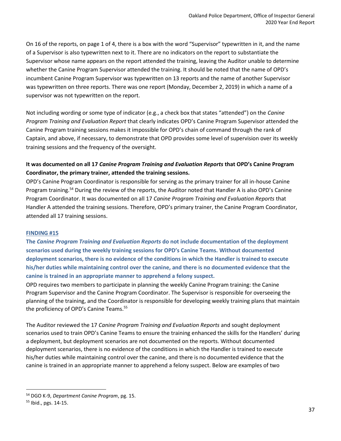On 16 of the reports, on page 1 of 4, there is a box with the word "Supervisor" typewritten in it, and the name of a Supervisor is also typewritten next to it. There are no indicators on the report to substantiate the Supervisor whose name appears on the report attended the training, leaving the Auditor unable to determine whether the Canine Program Supervisor attended the training. It should be noted that the name of OPD's incumbent Canine Program Supervisor was typewritten on 13 reports and the name of another Supervisor was typewritten on three reports. There was one report (Monday, December 2, 2019) in which a name of a supervisor was not typewritten on the report.

Not including wording or some type of indicator (e.g., a check box that states "attended") on the *Canine Program Training and Evaluation Report* that clearly indicates OPD's Canine Program Supervisor attended the Canine Program training sessions makes it impossible for OPD's chain of command through the rank of Captain, and above, if necessary, to demonstrate that OPD provides some level of supervision over its weekly training sessions and the frequency of the oversight.

#### **It was documented on all 17** *Canine Program Training and Evaluation Reports* **that OPD's Canine Program Coordinator, the primary trainer, attended the training sessions.**

OPD's Canine Program Coordinator is responsible for serving as the primary trainer for all in-house Canine Program training.<sup>54</sup> During the review of the reports, the Auditor noted that Handler A is also OPD's Canine Program Coordinator. It was documented on all 17 *Canine Program Training and Evaluation Reports* that Handler A attended the training sessions. Therefore, OPD's primary trainer, the Canine Program Coordinator, attended all 17 training sessions.

#### **FINDING #15**

**The** *Canine Program Training and Evaluation Reports* **do not include documentation of the deployment scenarios used during the weekly training sessions for OPD's Canine Teams. Without documented deployment scenarios, there is no evidence of the conditions in which the Handler is trained to execute his/her duties while maintaining control over the canine, and there is no documented evidence that the canine is trained in an appropriate manner to apprehend a felony suspect.**

OPD requires two members to participate in planning the weekly Canine Program training: the Canine Program Supervisor and the Canine Program Coordinator. The Supervisor is responsible for overseeing the planning of the training, and the Coordinator is responsible for developing weekly training plans that maintain the proficiency of OPD's Canine Teams.<sup>55</sup>

The Auditor reviewed the 17 *Canine Program Training and Evaluation Reports* and sought deployment scenarios used to train OPD's Canine Teams to ensure the training enhanced the skills for the Handlers' during a deployment, but deployment scenarios are not documented on the reports. Without documented deployment scenarios, there is no evidence of the conditions in which the Handler is trained to execute his/her duties while maintaining control over the canine, and there is no documented evidence that the canine is trained in an appropriate manner to apprehend a felony suspect. Below are examples of two

<sup>54</sup> DGO K-9, *Department Canine Program*, pg. 15.

<sup>55</sup> Ibid., pgs. 14-15.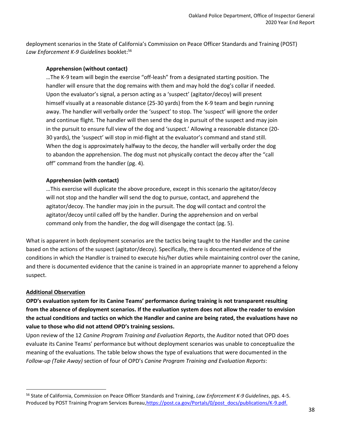deployment scenarios in the State of California's Commission on Peace Officer Standards and Training (POST) Law Enforcement K-9 Guidelines booklet:<sup>56</sup>

#### **Apprehension (without contact)**

…The K-9 team will begin the exercise "off-leash" from a designated starting position. The handler will ensure that the dog remains with them and may hold the dog's collar if needed. Upon the evaluator's signal, a person acting as a 'suspect' (agitator/decoy) will present himself visually at a reasonable distance (25-30 yards) from the K-9 team and begin running away. The handler will verbally order the 'suspect' to stop. The 'suspect' will ignore the order and continue flight. The handler will then send the dog in pursuit of the suspect and may join in the pursuit to ensure full view of the dog and 'suspect.' Allowing a reasonable distance (20- 30 yards), the 'suspect' will stop in mid-flight at the evaluator's command and stand still. When the dog is approximately halfway to the decoy, the handler will verbally order the dog to abandon the apprehension. The dog must not physically contact the decoy after the "call off" command from the handler (pg. 4).

#### **Apprehension (with contact)**

…This exercise will duplicate the above procedure, except in this scenario the agitator/decoy will not stop and the handler will send the dog to pursue, contact, and apprehend the agitator/decoy. The handler may join in the pursuit. The dog will contact and control the agitator/decoy until called off by the handler. During the apprehension and on verbal command only from the handler, the dog will disengage the contact (pg. 5).

What is apparent in both deployment scenarios are the tactics being taught to the Handler and the canine based on the actions of the suspect (agitator/decoy). Specifically, there is documented evidence of the conditions in which the Handler is trained to execute his/her duties while maintaining control over the canine, and there is documented evidence that the canine is trained in an appropriate manner to apprehend a felony suspect.

#### **Additional Observation**

**OPD's evaluation system for its Canine Teams' performance during training is not transparent resulting from the absence of deployment scenarios. If the evaluation system does not allow the reader to envision the actual conditions and tactics on which the Handler and canine are being rated, the evaluations have no value to those who did not attend OPD's training sessions.**

Upon review of the 12 *Canine Program Training and Evaluation Reports*, the Auditor noted that OPD does evaluate its Canine Teams' performance but without deployment scenarios was unable to conceptualize the meaning of the evaluations. The table below shows the type of evaluations that were documented in the *Follow-up (Take Away)* section of four of OPD's *Canine Program Training and Evaluation Reports*:

<sup>56</sup> State of California, Commission on Peace Officer Standards and Training, *Law Enforcement K-9 Guidelines*, pgs. 4-5. Produced by POST Training Program Services Bureau, https://post.ca.gov/Portals/0/post\_docs/publications/K-9.pdf.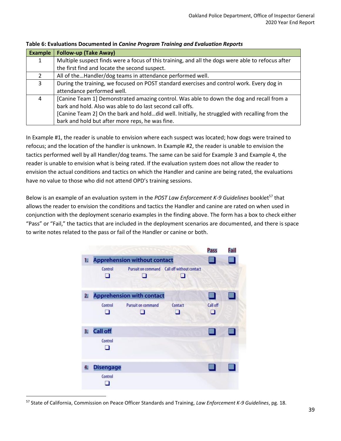| <b>Example</b> | <b>Follow-up (Take Away)</b>                                                                      |  |  |  |
|----------------|---------------------------------------------------------------------------------------------------|--|--|--|
|                | Multiple suspect finds were a focus of this training, and all the dogs were able to refocus after |  |  |  |
|                | the first find and locate the second suspect.                                                     |  |  |  |
| 2              | All of theHandler/dog teams in attendance performed well.                                         |  |  |  |
| 3              | During the training, we focused on POST standard exercises and control work. Every dog in         |  |  |  |
|                | attendance performed well.                                                                        |  |  |  |
| 4              | [Canine Team 1] Demonstrated amazing control. Was able to down the dog and recall from a          |  |  |  |
|                | bark and hold. Also was able to do last second call offs.                                         |  |  |  |
|                | [Canine Team 2] On the bark and holddid well. Initially, he struggled with recalling from the     |  |  |  |
|                | bark and hold but after more reps, he was fine.                                                   |  |  |  |

#### **Table 6: Evaluations Documented in** *Canine Program Training and Evaluation Reports*

In Example #1, the reader is unable to envision where each suspect was located; how dogs were trained to refocus; and the location of the handler is unknown. In Example #2, the reader is unable to envision the tactics performed well by all Handler/dog teams. The same can be said for Example 3 and Example 4, the reader is unable to envision what is being rated. If the evaluation system does not allow the reader to envision the actual conditions and tactics on which the Handler and canine are being rated, the evaluations have no value to those who did not attend OPD's training sessions.

Below is an example of an evaluation system in the *POST Law Enforcement K-9 Guidelines* booklet<sup>57</sup> that allows the reader to envision the conditions and tactics the Handler and canine are rated on when used in conjunction with the deployment scenario examples in the finding above. The form has a box to check either "Pass" or "Fail," the tactics that are included in the deployment scenarios are documented, and there is space to write notes related to the pass or fail of the Handler or canine or both.

|                |                                     |                                  |                                             | Pass                  | Fail |
|----------------|-------------------------------------|----------------------------------|---------------------------------------------|-----------------------|------|
| u              | <b>Apprehension without contact</b> |                                  |                                             |                       |      |
|                | Control<br>H                        |                                  | Pursuit on command Call off without contact |                       |      |
| 2.             |                                     | <b>Apprehension with contact</b> |                                             |                       |      |
|                | Control<br>n                        | Pursuit on command               | Contact<br>п                                | Call off<br><b>ST</b> |      |
| 3 <sub>1</sub> | <b>Call off</b>                     |                                  |                                             |                       |      |
|                | Control<br>u                        |                                  |                                             |                       |      |
| 4.             | <b>Disengage</b>                    |                                  |                                             |                       |      |
|                | Control                             |                                  |                                             |                       |      |

<sup>57</sup> State of California, Commission on Peace Officer Standards and Training, *Law Enforcement K-9 Guidelines*, pg. 18.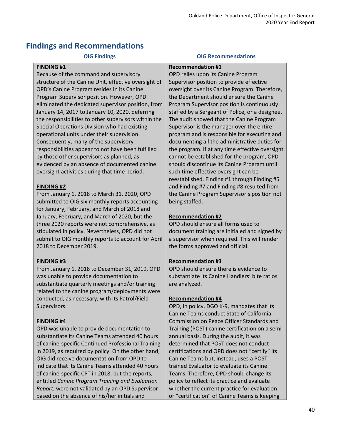### **Findings and Recommendations**

#### **FINDING #1**

Because of the command and supervisory structure of the Canine Unit, effective oversight of OPD's Canine Program resides in its Canine Program Supervisor position. However, OPD eliminated the dedicated supervisor position, from January 14, 2017 to January 10, 2020, deferring the responsibilities to other supervisors within the Special Operations Division who had existing operational units under their supervision. Consequently, many of the supervisory responsibilities appear to not have been fulfilled by those other supervisors as planned, as evidenced by an absence of documented canine oversight activities during that time period.

#### **FINDING #2**

From January 1, 2018 to March 31, 2020, OPD submitted to OIG six monthly reports accounting for January, February, and March of 2018 and January, February, and March of 2020, but the three 2020 reports were not comprehensive, as stipulated in policy. Nevertheless, OPD did not submit to OIG monthly reports to account for April 2018 to December 2019.

#### **FINDING #3**

From January 1, 2018 to December 31, 2019, OPD was unable to provide documentation to substantiate quarterly meetings and/or training related to the canine program/deployments were conducted, as necessary, with its Patrol/Field Supervisors.

#### **FINDING #4**

OPD was unable to provide documentation to substantiate its Canine Teams attended 40 hours of canine-specific Continued Professional Training in 2019, as required by policy. On the other hand, OIG did receive documentation from OPD to indicate that its Canine Teams attended 40 hours of canine-specific CPT in 2018, but the reports, entitled *Canine Program Training and Evaluation Report*, were not validated by an OPD Supervisor based on the absence of his/her initials and

#### **OIG Findings OIG Recommendations**

#### **Recommendation #1**

OPD relies upon its Canine Program Supervisor position to provide effective oversight over its Canine Program. Therefore, the Department should ensure the Canine Program Supervisor position is continuously staffed by a Sergeant of Police, or a designee. The audit showed that the Canine Program Supervisor is the manager over the entire program and is responsible for executing and documenting all the administrative duties for the program. If at any time effective oversight cannot be established for the program, OPD should discontinue its Canine Program until such time effective oversight can be reestablished. Finding #1 through Finding #5 and Finding #7 and Finding #8 resulted from the Canine Program Supervisor's position not being staffed.

#### **Recommendation #2**

OPD should ensure all forms used to document training are initialed and signed by a supervisor when required. This will render the forms approved and official.

#### **Recommendation #3**

OPD should ensure there is evidence to substantiate its Canine Handlers' bite ratios are analyzed.

#### **Recommendation #4**

OPD, in policy, DGO K-9, mandates that its Canine Teams conduct State of California Commission on Peace Officer Standards and Training (POST) canine certification on a semiannual basis. During the audit, it was determined that POST does not conduct certifications and OPD does not "certify" its Canine Teams but, instead, uses a POSTtrained Evaluator to evaluate its Canine Teams. Therefore, OPD should change its policy to reflect its practice and evaluate whether the current practice for evaluation or "certification" of Canine Teams is keeping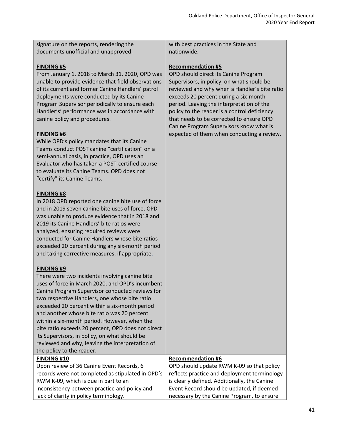signature on the reports, rendering the documents unofficial and unapproved.

#### **FINDING #5**

From January 1, 2018 to March 31, 2020, OPD was unable to provide evidence that field observations of its current and former Canine Handlers' patrol deployments were conducted by its Canine Program Supervisor periodically to ensure each Handler's' performance was in accordance with canine policy and procedures.

#### **FINDING #6**

While OPD's policy mandates that its Canine Teams conduct POST canine "certification" on a semi-annual basis, in practice, OPD uses an Evaluator who has taken a POST-certified course to evaluate its Canine Teams. OPD does not "certify" its Canine Teams.

#### **FINDING #8**

In 2018 OPD reported one canine bite use of force and in 2019 seven canine bite uses of force. OPD was unable to produce evidence that in 2018 and 2019 its Canine Handlers' bite ratios were analyzed, ensuring required reviews were conducted for Canine Handlers whose bite ratios exceeded 20 percent during any six-month period and taking corrective measures, if appropriate.

#### **FINDING #9**

There were two incidents involving canine bite uses of force in March 2020, and OPD's incumbent Canine Program Supervisor conducted reviews for two respective Handlers, one whose bite ratio exceeded 20 percent within a six-month period and another whose bite ratio was 20 percent within a six-month period. However, when the bite ratio exceeds 20 percent, OPD does not direct its Supervisors, in policy, on what should be reviewed and why, leaving the interpretation of the policy to the reader. **FINDING #10** Upon review of 36 Canine Event Records, 6 records were not completed as stipulated in OPD's

RWM K-09, which is due in part to an

lack of clarity in policy terminology.

inconsistency between practice and policy and

with best practices in the State and nationwide.

#### **Recommendation #5**

OPD should direct its Canine Program Supervisors, in policy, on what should be reviewed and why when a Handler's bite ratio exceeds 20 percent during a six-month period. Leaving the interpretation of the policy to the reader is a control deficiency that needs to be corrected to ensure OPD Canine Program Supervisors know what is expected of them when conducting a review.

#### **Recommendation #6**

OPD should update RWM K-09 so that policy reflects practice and deployment terminology is clearly defined. Additionally, the Canine Event Record should be updated, if deemed necessary by the Canine Program, to ensure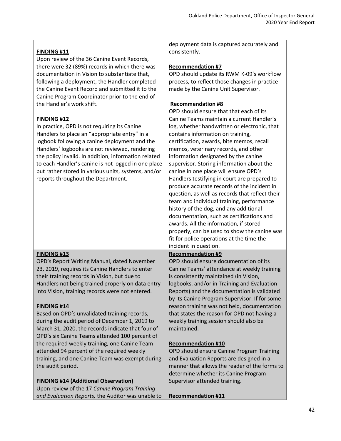|                                                      | deployment data is captured accurately and                                                   |
|------------------------------------------------------|----------------------------------------------------------------------------------------------|
| <b>FINDING #11</b>                                   | consistently.                                                                                |
| Upon review of the 36 Canine Event Records,          |                                                                                              |
| there were 32 (89%) records in which there was       | <b>Recommendation #7</b>                                                                     |
| documentation in Vision to substantiate that,        | OPD should update its RWM K-09's workflow                                                    |
| following a deployment, the Handler completed        | process, to reflect those changes in practice                                                |
| the Canine Event Record and submitted it to the      | made by the Canine Unit Supervisor.                                                          |
| Canine Program Coordinator prior to the end of       |                                                                                              |
| the Handler's work shift.                            | <b>Recommendation #8</b>                                                                     |
|                                                      | OPD should ensure that that each of its                                                      |
| <b>FINDING #12</b>                                   | Canine Teams maintain a current Handler's                                                    |
| In practice, OPD is not requiring its Canine         | log, whether handwritten or electronic, that                                                 |
| Handlers to place an "appropriate entry" in a        | contains information on training,                                                            |
| logbook following a canine deployment and the        | certification, awards, bite memos, recall                                                    |
| Handlers' logbooks are not reviewed, rendering       | memos, veterinary records, and other                                                         |
| the policy invalid. In addition, information related | information designated by the canine                                                         |
| to each Handler's canine is not logged in one place  | supervisor. Storing information about the                                                    |
| but rather stored in various units, systems, and/or  | canine in one place will ensure OPD's                                                        |
| reports throughout the Department.                   | Handlers testifying in court are prepared to                                                 |
|                                                      | produce accurate records of the incident in                                                  |
|                                                      | question, as well as records that reflect their                                              |
|                                                      | team and individual training, performance                                                    |
|                                                      | history of the dog, and any additional                                                       |
|                                                      | documentation, such as certifications and                                                    |
|                                                      | awards. All the information, if stored                                                       |
|                                                      |                                                                                              |
|                                                      | properly, can be used to show the canine was                                                 |
|                                                      | fit for police operations at the time the<br>incident in question.                           |
| <b>FINDING #13</b>                                   | <b>Recommendation #9</b>                                                                     |
| OPD's Report Writing Manual, dated November          | OPD should ensure documentation of its                                                       |
| 23, 2019, requires its Canine Handlers to enter      | Canine Teams' attendance at weekly training                                                  |
| their training records in Vision, but due to         | is consistently maintained (in Vision,                                                       |
|                                                      |                                                                                              |
| Handlers not being trained properly on data entry    | logbooks, and/or in Training and Evaluation                                                  |
| into Vision, training records were not entered.      | Reports) and the documentation is validated<br>by its Canine Program Supervisor. If for some |
| <b>FINDING #14</b>                                   | reason training was not held, documentation                                                  |
| Based on OPD's unvalidated training records,         | that states the reason for OPD not having a                                                  |
| during the audit period of December 1, 2019 to       | weekly training session should also be                                                       |
| March 31, 2020, the records indicate that four of    | maintained.                                                                                  |
| OPD's six Canine Teams attended 100 percent of       |                                                                                              |
|                                                      |                                                                                              |
| the required weekly training, one Canine Team        | <b>Recommendation #10</b>                                                                    |
| attended 94 percent of the required weekly           | OPD should ensure Canine Program Training<br>and Evaluation Reports are designed in a        |
| training, and one Canine Team was exempt during      | manner that allows the reader of the forms to                                                |
| the audit period.                                    |                                                                                              |
|                                                      | determine whether its Canine Program                                                         |
| <b>FINDING #14 (Additional Observation)</b>          | Supervisor attended training.                                                                |
| Upon review of the 17 Canine Program Training        |                                                                                              |
| and Evaluation Reports, the Auditor was unable to    | <b>Recommendation #11</b>                                                                    |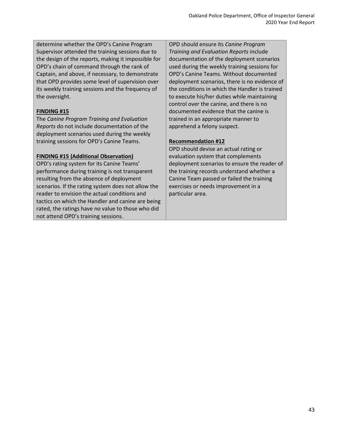determine whether the OPD's Canine Program Supervisor attended the training sessions due to the design of the reports, making it impossible for OPD's chain of command through the rank of Captain, and above, if necessary, to demonstrate that OPD provides some level of supervision over its weekly training sessions and the frequency of the oversight.

#### **FINDING #15**

The *Canine Program Training and Evaluation Reports* do not include documentation of the deployment scenarios used during the weekly training sessions for OPD's Canine Teams.

#### **FINDING #15 (Additional Observation)**

OPD's rating system for its Canine Teams' performance during training is not transparent resulting from the absence of deployment scenarios. If the rating system does not allow the reader to envision the actual conditions and tactics on which the Handler and canine are being rated, the ratings have no value to those who did not attend OPD's training sessions.

OPD should ensure its *Canine Program Training and Evaluation Reports* include documentation of the deployment scenarios used during the weekly training sessions for OPD's Canine Teams. Without documented deployment scenarios, there is no evidence of the conditions in which the Handler is trained to execute his/her duties while maintaining control over the canine, and there is no documented evidence that the canine is trained in an appropriate manner to apprehend a felony suspect.

#### **Recommendation #12**

OPD should devise an actual rating or evaluation system that complements deployment scenarios to ensure the reader of the training records understand whether a Canine Team passed or failed the training exercises or needs improvement in a particular area.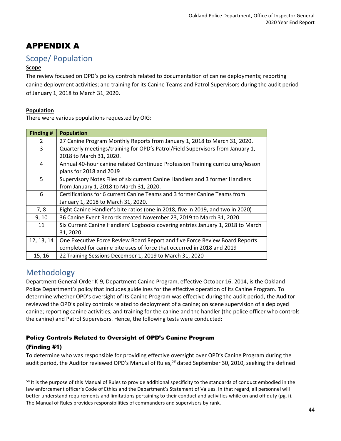## APPENDIX A

### Scope/ Population

#### **Scope**

The review focused on OPD's policy controls related to documentation of canine deployments; reporting canine deployment activities; and training for its Canine Teams and Patrol Supervisors during the audit period of January 1, 2018 to March 31, 2020.

#### **Population**

There were various populations requested by OIG:

| Finding #     | <b>Population</b>                                                               |  |  |  |
|---------------|---------------------------------------------------------------------------------|--|--|--|
| $\mathcal{L}$ | 27 Canine Program Monthly Reports from January 1, 2018 to March 31, 2020.       |  |  |  |
| 3             | Quarterly meetings/training for OPD's Patrol/Field Supervisors from January 1,  |  |  |  |
|               | 2018 to March 31, 2020.                                                         |  |  |  |
| 4             | Annual 40-hour canine related Continued Profession Training curriculums/lesson  |  |  |  |
|               | plans for 2018 and 2019                                                         |  |  |  |
| 5             | Supervisory Notes Files of six current Canine Handlers and 3 former Handlers    |  |  |  |
|               | from January 1, 2018 to March 31, 2020.                                         |  |  |  |
| 6             | Certifications for 6 current Canine Teams and 3 former Canine Teams from        |  |  |  |
|               | January 1, 2018 to March 31, 2020.                                              |  |  |  |
| 7,8           | Eight Canine Handler's bite ratios (one in 2018, five in 2019, and two in 2020) |  |  |  |
| 9, 10         | 36 Canine Event Records created November 23, 2019 to March 31, 2020             |  |  |  |
| 11            | Six Current Canine Handlers' Logbooks covering entries January 1, 2018 to March |  |  |  |
|               | 31, 2020.                                                                       |  |  |  |
| 12, 13, 14    | One Executive Force Review Board Report and five Force Review Board Reports     |  |  |  |
|               | completed for canine bite uses of force that occurred in 2018 and 2019          |  |  |  |
| 15, 16        | 22 Training Sessions December 1, 2019 to March 31, 2020                         |  |  |  |

### Methodology

Department General Order K-9, Department Canine Program, effective October 16, 2014, is the Oakland Police Department's policy that includes guidelines for the effective operation of its Canine Program. To determine whether OPD's oversight of its Canine Program was effective during the audit period, the Auditor reviewed the OPD's policy controls related to deployment of a canine; on scene supervision of a deployed canine; reporting canine activities; and training for the canine and the handler (the police officer who controls the canine) and Patrol Supervisors. Hence, the following tests were conducted:

### Policy Controls Related to Oversight of OPD's Canine Program

#### (Finding #1)

To determine who was responsible for providing effective oversight over OPD's Canine Program during the audit period, the Auditor reviewed OPD's Manual of Rules,<sup>58</sup> dated September 30, 2010, seeking the defined

<sup>&</sup>lt;sup>58</sup> It is the purpose of this Manual of Rules to provide additional specificity to the standards of conduct embodied in the law enforcement officer's Code of Ethics and the Department's Statement of Values. In that regard, all personnel will better understand requirements and limitations pertaining to their conduct and activities while on and off duty (pg. i). The Manual of Rules provides responsibilities of commanders and supervisors by rank.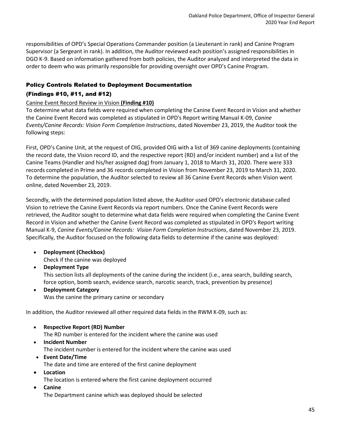responsibilities of OPD's Special Operations Commander position (a Lieutenant in rank) and Canine Program Supervisor (a Sergeant in rank). In addition, the Auditor reviewed each position's assigned responsibilities in DGO K-9. Based on information gathered from both policies, the Auditor analyzed and interpreted the data in order to deem who was primarily responsible for providing oversight over OPD's Canine Program.

#### Policy Controls Related to Deployment Documentation

#### (Findings #10, #11, and #12)

#### Canine Event Record Review in Vision **(Finding #10)**

To determine what data fields were required when completing the Canine Event Record in Vision and whether the Canine Event Record was completed as stipulated in OPD's Report writing Manual K-09, *Canine Events/Canine Records: Vision Form Completion Instructions*, dated November 23, 2019, the Auditor took the following steps:

First, OPD's Canine Unit, at the request of OIG, provided OIG with a list of 369 canine deployments (containing the record date, the Vision record ID, and the respective report (RD) and/or incident number) and a list of the Canine Teams (Handler and his/her assigned dog) from January 1, 2018 to March 31, 2020. There were 333 records completed in Prime and 36 records completed in Vision from November 23, 2019 to March 31, 2020. To determine the population, the Auditor selected to review all 36 Canine Event Records when Vision went online, dated November 23, 2019.

Secondly, with the determined population listed above, the Auditor used OPD's electronic database called Vision to retrieve the Canine Event Records via report numbers. Once the Canine Event Records were retrieved, the Auditor sought to determine what data fields were required when completing the Canine Event Record in Vision and whether the Canine Event Record was completed as stipulated in OPD's Report writing Manual K-9, *Canine Events/Canine Records: Vision Form Completion Instructions*, dated November 23, 2019. Specifically, the Auditor focused on the following data fields to determine if the canine was deployed:

- **Deployment (Checkbox)**  Check if the canine was deployed
- **Deployment Type**  This section lists all deployments of the canine during the incident (i.e., area search, building search, force option, bomb search, evidence search, narcotic search, track, prevention by presence)
- **Deployment Category** Was the canine the primary canine or secondary

In addition, the Auditor reviewed all other required data fields in the RWM K-09, such as:

- **Respective Report (RD) Number** The RD number is entered for the incident where the canine was used
- **Incident Number** The incident number is entered for the incident where the canine was used
- **Event Date/Time** The date and time are entered of the first canine deployment
- **Location** The location is entered where the first canine deployment occurred
- **Canine** The Department canine which was deployed should be selected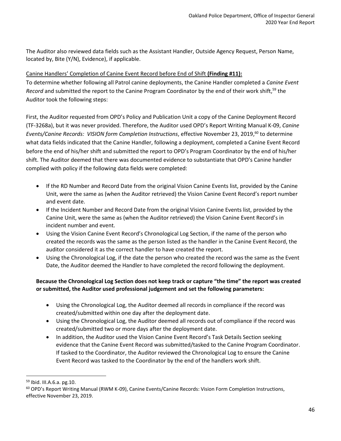The Auditor also reviewed data fields such as the Assistant Handler, Outside Agency Request, Person Name, located by, Bite (Y/N), Evidence), if applicable.

#### Canine Handlers' Completion of Canine Event Record before End of Shift **(Finding #11):**

To determine whether following all Patrol canine deployments, the Canine Handler completed a *Canine Event*  Record and submitted the report to the Canine Program Coordinator by the end of their work shift,<sup>59</sup> the Auditor took the following steps:

First, the Auditor requested from OPD's Policy and Publication Unit a copy of the Canine Deployment Record (TF-3268a), but it was never provided. Therefore, the Auditor used OPD's Report Writing Manual K-09, *Canine*  Events/Canine Records: VISION form Completion Instructions, effective November 23, 2019,<sup>60</sup> to determine what data fields indicated that the Canine Handler, following a deployment, completed a Canine Event Record before the end of his/her shift and submitted the report to OPD's Program Coordinator by the end of his/her shift. The Auditor deemed that there was documented evidence to substantiate that OPD's Canine handler complied with policy if the following data fields were completed:

- If the RD Number and Record Date from the original Vision Canine Events list, provided by the Canine Unit, were the same as (when the Auditor retrieved) the Vision Canine Event Record's report number and event date.
- If the Incident Number and Record Date from the original Vision Canine Events list, provided by the Canine Unit, were the same as (when the Auditor retrieved) the Vision Canine Event Record's in incident number and event.
- Using the Vision Canine Event Record's Chronological Log Section, if the name of the person who created the records was the same as the person listed as the handler in the Canine Event Record, the auditor considered it as the correct handler to have created the report.
- Using the Chronological Log, if the date the person who created the record was the same as the Event Date, the Auditor deemed the Handler to have completed the record following the deployment.

#### **Because the Chronological Log Section does not keep track or capture "the time" the report was created or submitted, the Auditor used professional judgement and set the following parameters:**

- Using the Chronological Log, the Auditor deemed all records in compliance if the record was created/submitted within one day after the deployment date.
- Using the Chronological Log, the Auditor deemed all records out of compliance if the record was created/submitted two or more days after the deployment date.
- In addition, the Auditor used the Vision Canine Event Record's Task Details Section seeking evidence that the Canine Event Record was submitted/tasked to the Canine Program Coordinator. If tasked to the Coordinator, the Auditor reviewed the Chronological Log to ensure the Canine Event Record was tasked to the Coordinator by the end of the handlers work shift.

<sup>59</sup> Ibid. III.A.6.a. pg.10.

<sup>&</sup>lt;sup>60</sup> OPD's Report Writing Manual (RWM K-09), Canine Events/Canine Records: Vision Form Completion Instructions, effective November 23, 2019.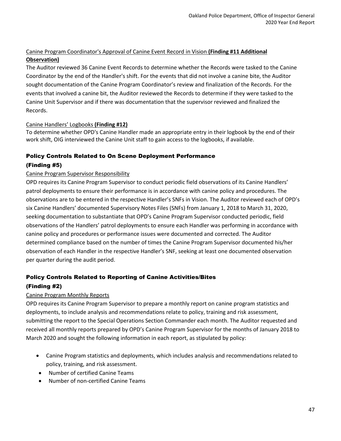#### Canine Program Coordinator's Approval of Canine Event Record in Vision **(Finding #11 Additional Observation)**

The Auditor reviewed 36 Canine Event Records to determine whether the Records were tasked to the Canine Coordinator by the end of the Handler's shift. For the events that did not involve a canine bite, the Auditor sought documentation of the Canine Program Coordinator's review and finalization of the Records. For the events that involved a canine bit, the Auditor reviewed the Records to determine if they were tasked to the Canine Unit Supervisor and if there was documentation that the supervisor reviewed and finalized the Records.

#### Canine Handlers' Logbooks **(Finding #12)**

To determine whether OPD's Canine Handler made an appropriate entry in their logbook by the end of their work shift, OIG interviewed the Canine Unit staff to gain access to the logbooks, if available.

#### Policy Controls Related to On Scene Deployment Performance

#### (Finding #5)

#### Canine Program Supervisor Responsibility

OPD requires its Canine Program Supervisor to conduct periodic field observations of its Canine Handlers' patrol deployments to ensure their performance is in accordance with canine policy and procedures. The observations are to be entered in the respective Handler's SNFs in Vision. The Auditor reviewed each of OPD's six Canine Handlers' documented Supervisory Notes Files (SNFs) from January 1, 2018 to March 31, 2020, seeking documentation to substantiate that OPD's Canine Program Supervisor conducted periodic, field observations of the Handlers' patrol deployments to ensure each Handler was performing in accordance with canine policy and procedures or performance issues were documented and corrected. The Auditor determined compliance based on the number of times the Canine Program Supervisor documented his/her observation of each Handler in the respective Handler's SNF, seeking at least one documented observation per quarter during the audit period.

### Policy Controls Related to Reporting of Canine Activities/Bites (Finding #2)

#### Canine Program Monthly Reports

OPD requires its Canine Program Supervisor to prepare a monthly report on canine program statistics and deployments, to include analysis and recommendations relate to policy, training and risk assessment, submitting the report to the Special Operations Section Commander each month. The Auditor requested and received all monthly reports prepared by OPD's Canine Program Supervisor for the months of January 2018 to March 2020 and sought the following information in each report, as stipulated by policy:

- Canine Program statistics and deployments, which includes analysis and recommendations related to policy, training, and risk assessment.
- Number of certified Canine Teams
- Number of non-certified Canine Teams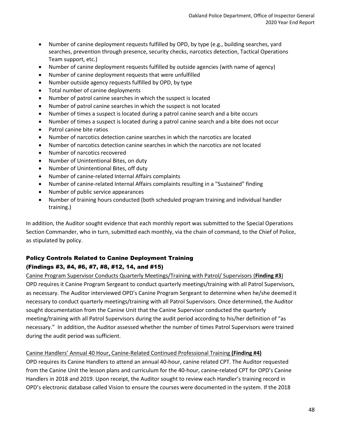- Number of canine deployment requests fulfilled by OPD, by type (e.g., building searches, yard searches, prevention through presence, security checks, narcotics detection, Tactical Operations Team support, etc.)
- Number of canine deployment requests fulfilled by outside agencies (with name of agency)
- Number of canine deployment requests that were unfulfilled
- Number outside agency requests fulfilled by OPD, by type
- Total number of canine deployments
- Number of patrol canine searches in which the suspect is located
- Number of patrol canine searches in which the suspect is not located
- Number of times a suspect is located during a patrol canine search and a bite occurs
- Number of times a suspect is located during a patrol canine search and a bite does not occur
- Patrol canine bite ratios
- Number of narcotics detection canine searches in which the narcotics are located
- Number of narcotics detection canine searches in which the narcotics are not located
- Number of narcotics recovered
- Number of Unintentional Bites, on duty
- Number of Unintentional Bites, off duty
- Number of canine-related Internal Affairs complaints
- Number of canine-related Internal Affairs complaints resulting in a "Sustained" finding
- Number of public service appearances
- Number of training hours conducted (both scheduled program training and individual handler training.)

In addition, the Auditor sought evidence that each monthly report was submitted to the Special Operations Section Commander, who in turn, submitted each monthly, via the chain of command, to the Chief of Police, as stipulated by policy.

#### Policy Controls Related to Canine Deployment Training

#### (Findings #3, #4, #6, #7, #8, #12, 14, and #15)

Canine Program Supervisor Conducts Quarterly Meetings/Training with Patrol/ Supervisors (**Finding #3**) OPD requires it Canine Program Sergeant to conduct quarterly meetings/training with all Patrol Supervisors, as necessary. The Auditor interviewed OPD's Canine Program Sergeant to determine when he/she deemed it necessary to conduct quarterly meetings/training with all Patrol Supervisors. Once determined, the Auditor sought documentation from the Canine Unit that the Canine Supervisor conducted the quarterly meeting/training with all Patrol Supervisors during the audit period according to his/her definition of "as necessary." In addition, the Auditor assessed whether the number of times Patrol Supervisors were trained during the audit period was sufficient.

#### Canine Handlers' Annual 40 Hour, Canine-Related Continued Professional Training **(Finding #4)**

OPD requires its Canine Handlers to attend an annual 40-hour, canine related CPT. The Auditor requested from the Canine Unit the lesson plans and curriculum for the 40-hour, canine-related CPT for OPD's Canine Handlers in 2018 and 2019. Upon receipt, the Auditor sought to review each Handler's training record in OPD's electronic database called Vision to ensure the courses were documented in the system. If the 2018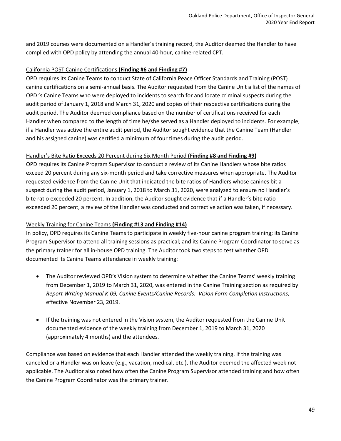and 2019 courses were documented on a Handler's training record, the Auditor deemed the Handler to have complied with OPD policy by attending the annual 40-hour, canine-related CPT.

#### California POST Canine Certifications **(Finding #6 and Finding #7)**

OPD requires its Canine Teams to conduct State of California Peace Officer Standards and Training (POST) canine certifications on a semi-annual basis. The Auditor requested from the Canine Unit a list of the names of OPD 's Canine Teams who were deployed to incidents to search for and locate criminal suspects during the audit period of January 1, 2018 and March 31, 2020 and copies of their respective certifications during the audit period. The Auditor deemed compliance based on the number of certifications received for each Handler when compared to the length of time he/she served as a Handler deployed to incidents. For example, if a Handler was active the entire audit period, the Auditor sought evidence that the Canine Team (Handler and his assigned canine) was certified a minimum of four times during the audit period.

#### Handler's Bite Ratio Exceeds 20 Percent during Six Month Period **(Finding #8 and Finding #9)**

OPD requires its Canine Program Supervisor to conduct a review of its Canine Handlers whose bite ratios exceed 20 percent during any six-month period and take corrective measures when appropriate. The Auditor requested evidence from the Canine Unit that indicated the bite ratios of Handlers whose canines bit a suspect during the audit period, January 1, 2018 to March 31, 2020, were analyzed to ensure no Handler's bite ratio exceeded 20 percent. In addition, the Auditor sought evidence that if a Handler's bite ratio exceeded 20 percent, a review of the Handler was conducted and corrective action was taken, if necessary.

#### Weekly Training for Canine Teams **(Finding #13 and Finding #14)**

In policy, OPD requires its Canine Teams to participate in weekly five-hour canine program training; its Canine Program Supervisor to attend all training sessions as practical; and its Canine Program Coordinator to serve as the primary trainer for all in-house OPD training. The Auditor took two steps to test whether OPD documented its Canine Teams attendance in weekly training:

- The Auditor reviewed OPD's Vision system to determine whether the Canine Teams' weekly training from December 1, 2019 to March 31, 2020, was entered in the Canine Training section as required by *Report Writing Manual K-09, Canine Events/Canine Records: Vision Form Completion Instructions*, effective November 23, 2019.
- If the training was not entered in the Vision system, the Auditor requested from the Canine Unit documented evidence of the weekly training from December 1, 2019 to March 31, 2020 (approximately 4 months) and the attendees.

Compliance was based on evidence that each Handler attended the weekly training. If the training was canceled or a Handler was on leave (e.g., vacation, medical, etc.), the Auditor deemed the affected week not applicable. The Auditor also noted how often the Canine Program Supervisor attended training and how often the Canine Program Coordinator was the primary trainer.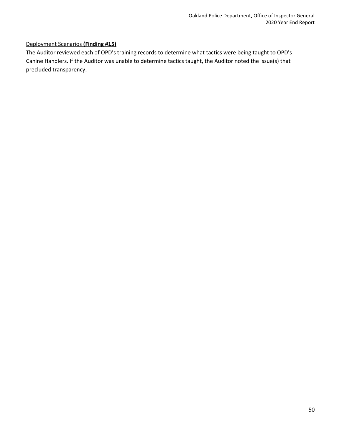#### Deployment Scenarios **(Finding #15)**

The Auditor reviewed each of OPD's training records to determine what tactics were being taught to OPD's Canine Handlers. If the Auditor was unable to determine tactics taught, the Auditor noted the issue(s) that precluded transparency.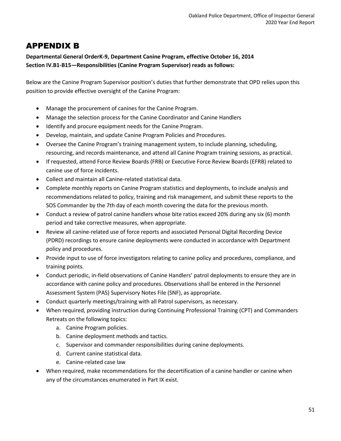### APPENDIX B

#### **Departmental General OrderK-9, Department Canine Program, effective October 16, 2014 Section IV.B1-B15—Responsibilities (Canine Program Supervisor) reads as follows:**

Below are the Canine Program Supervisor position's duties that further demonstrate that OPD relies upon this position to provide effective oversight of the Canine Program:

- Manage the procurement of canines for the Canine Program.
- Manage the selection process for the Canine Coordinator and Canine Handlers
- Identify and procure equipment needs for the Canine Program.
- Develop, maintain, and update Canine Program Policies and Procedures.
- Oversee the Canine Program's training management system, to include planning, scheduling, resourcing, and records maintenance, and attend all Canine Program training sessions, as practical.
- If requested, attend Force Review Boards (FRB) or Executive Force Review Boards (EFRB) related to canine use of force incidents.
- Collect and maintain all Canine-related statistical data.
- Complete monthly reports on Canine Program statistics and deployments, to include analysis and recommendations related to policy, training and risk management, and submit these reports to the SOS Commander by the 7th day of each month covering the data for the previous month.
- Conduct a review of patrol canine handlers whose bite ratios exceed 20% during any six (6) month period and take corrective measures, when appropriate.
- Review all canine-related use of force reports and associated Personal Digital Recording Device (PDRD) recordings to ensure canine deployments were conducted in accordance with Department policy and procedures.
- Provide input to use of force investigators relating to canine policy and procedures, compliance, and training points.
- Conduct periodic, in-field observations of Canine Handlers' patrol deployments to ensure they are in accordance with canine policy and procedures. Observations shall be entered in the Personnel Assessment System (PAS) Supervisory Notes File (SNF), as appropriate.
- Conduct quarterly meetings/training with all Patrol supervisors, as necessary.
- When required, providing instruction during Continuing Professional Training (CPT) and Commanders Retreats on the following topics:
	- a. Canine Program policies.
	- b. Canine deployment methods and tactics.
	- c. Supervisor and commander responsibilities during canine deployments.
	- d. Current canine statistical data.
	- e. Canine-related case law
- When required, make recommendations for the decertification of a canine handler or canine when any of the circumstances enumerated in Part IX exist.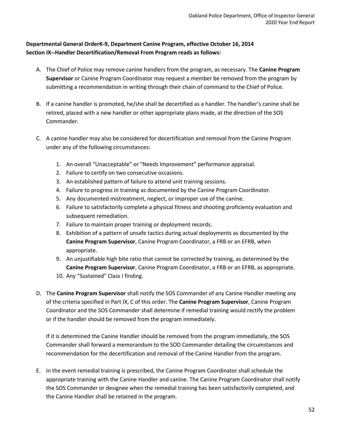#### **Departmental General OrderK-9, Department Canine Program, effective October 16, 2014 Section IX--Handler Decertification/Removal From Program reads as follows:**

- A. The Chief of Police may remove canine handlers from the program, as necessary. The **Canine Program Supervisor** or Canine Program Coordinator may request a member be removed from the program by submitting a recommendation in writing through their chain of command to the Chief of Police.
- B. If a canine handler is promoted, he/she shall be decertified as a handler. The handler's canine shall be retired, placed with a new handler or other appropriate plans made, at the direction of the SOS Commander.
- C. A canine handler may also be considered for decertification and removal from the Canine Program under any of the following circumstances:
	- 1. An overall "Unacceptable" or "Needs Improvement" performance appraisal.
	- 2. Failure to certify on two consecutive occasions.
	- 3. An established pattern of failure to attend unit training sessions.
	- 4. Failure to progress in training as documented by the Canine Program Coordinator.
	- 5. Any documented mistreatment, neglect, or improper use of the canine.
	- 6. Failure to satisfactorily complete a physical fitness and shooting proficiency evaluation and subsequent remediation.
	- 7. Failure to maintain proper training or deployment records.
	- 8. Exhibition of a pattern of unsafe tactics during actual deployments as documented by the **Canine Program Supervisor**, Canine Program Coordinator, a FRB or an EFRB, when appropriate.
	- 9. An unjustifiable high bite ratio that cannot be corrected by training, as determined by the **Canine Program Supervisor**, Canine Program Coordinator, a FRB or an EFRB, as appropriate.
	- 10. Any "Sustained" Class I finding.
- D. The **Canine Program Supervisor** shall notify the SOS Commander of any Canine Handler meeting any of the criteria specified in Part IX, C of this order. The **Canine Program Supervisor**, Canine Program Coordinator and the SOS Commander shall determine if remedial training would rectify the problem or if the handler should be removed from the program immediately.

If it is determined the Canine Handler should be removed from the program immediately, the SOS Commander shall forward a memorandum to the SOD Commander detailing the circumstances and recommendation for the decertification and removal of the Canine Handler from the program.

E. In the event remedial training is prescribed, the Canine Program Coordinator shall schedule the appropriate training with the Canine Handler and canine. The Canine Program Coordinator shall notify the SOS Commander or designee when the remedial training has been satisfactorily completed, and the Canine Handler shall be retained in the program.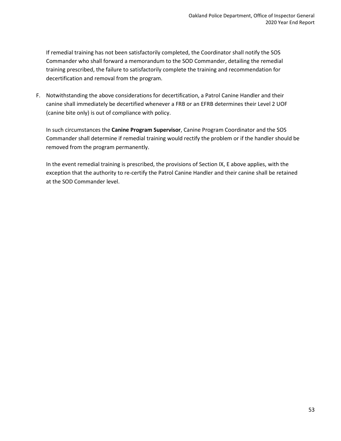If remedial training has not been satisfactorily completed, the Coordinator shall notify the SOS Commander who shall forward a memorandum to the SOD Commander, detailing the remedial training prescribed, the failure to satisfactorily complete the training and recommendation for decertification and removal from the program.

F. Notwithstanding the above considerations for decertification, a Patrol Canine Handler and their canine shall immediately be decertified whenever a FRB or an EFRB determines their Level 2 UOF (canine bite only) is out of compliance with policy.

In such circumstances the **Canine Program Supervisor**, Canine Program Coordinator and the SOS Commander shall determine if remedial training would rectify the problem or if the handler should be removed from the program permanently.

In the event remedial training is prescribed, the provisions of Section IX, E above applies, with the exception that the authority to re-certify the Patrol Canine Handler and their canine shall be retained at the SOD Commander level.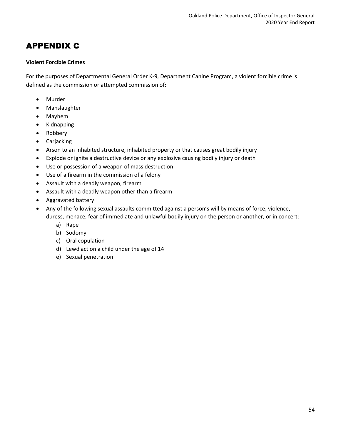### APPENDIX C

#### **Violent Forcible Crimes**

For the purposes of Departmental General Order K-9, Department Canine Program, a violent forcible crime is defined as the commission or attempted commission of:

- Murder
- Manslaughter
- Mayhem
- Kidnapping
- Robbery
- Carjacking
- Arson to an inhabited structure, inhabited property or that causes great bodily injury
- Explode or ignite a destructive device or any explosive causing bodily injury or death
- Use or possession of a weapon of mass destruction
- Use of a firearm in the commission of a felony
- Assault with a deadly weapon, firearm
- Assault with a deadly weapon other than a firearm
- Aggravated battery
- Any of the following sexual assaults committed against a person's will by means of force, violence, duress, menace, fear of immediate and unlawful bodily injury on the person or another, or in concert:
	- a) Rape
	- b) Sodomy
	- c) Oral copulation
	- d) Lewd act on a child under the age of 14
	- e) Sexual penetration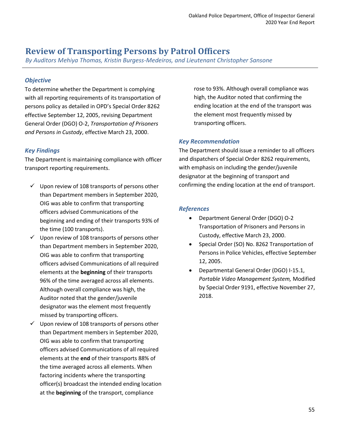### <span id="page-55-0"></span>**Review of Transporting Persons by Patrol Officers**

*By Auditors Mehiya Thomas, Kristin Burgess-Medeiros, and Lieutenant Christopher Sansone*

#### *Objective*

To determine whether the Department is complying with all reporting requirements of its transportation of persons policy as detailed in OPD's Special Order 8262 effective September 12, 2005, revising Department General Order (DGO) O-2, *Transportation of Prisoners and Persons in Custody*, effective March 23, 2000.

#### *Key Findings*

The Department is maintaining compliance with officer transport reporting requirements.

- $\checkmark$  Upon review of 108 transports of persons other than Department members in September 2020, OIG was able to confirm that transporting officers advised Communications of the beginning and ending of their transports 93% of the time (100 transports).
- $\checkmark$  Upon review of 108 transports of persons other than Department members in September 2020, OIG was able to confirm that transporting officers advised Communications of all required elements at the **beginning** of their transports 96% of the time averaged across all elements. Although overall compliance was high, the Auditor noted that the gender/juvenile designator was the element most frequently missed by transporting officers.
- $\checkmark$  Upon review of 108 transports of persons other than Department members in September 2020, OIG was able to confirm that transporting officers advised Communications of all required elements at the **end** of their transports 88% of the time averaged across all elements. When factoring incidents where the transporting officer(s) broadcast the intended ending location at the **beginning** of the transport, compliance

rose to 93%. Although overall compliance was high, the Auditor noted that confirming the ending location at the end of the transport was the element most frequently missed by transporting officers.

#### *Key Recommendation*

The Department should issue a reminder to all officers and dispatchers of Special Order 8262 requirements, with emphasis on including the gender/juvenile designator at the beginning of transport and confirming the ending location at the end of transport.

#### *References*

- Department General Order (DGO) O-2 Transportation of Prisoners and Persons in Custody, effective March 23, 2000.
- Special Order (SO) No. 8262 Transportation of Persons in Police Vehicles, effective September 12, 2005.
- Departmental General Order (DGO) I-15.1, *Portable Video Management System,* Modified by Special Order 9191, effective November 27, 2018.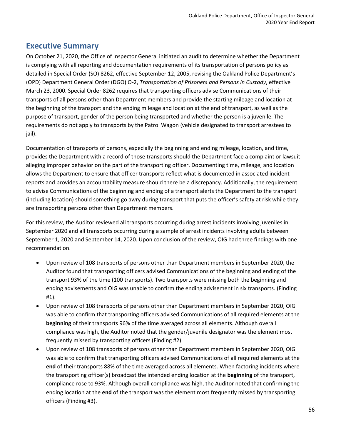### **Executive Summary**

On October 21, 2020, the Office of Inspector General initiated an audit to determine whether the Department is complying with all reporting and documentation requirements of its transportation of persons policy as detailed in Special Order (SO) 8262, effective September 12, 2005, revising the Oakland Police Department's (OPD) Department General Order (DGO) O-2, *Transportation of Prisoners and Persons in Custody*, effective March 23, 2000. Special Order 8262 requires that transporting officers advise Communications of their transports of all persons other than Department members and provide the starting mileage and location at the beginning of the transport and the ending mileage and location at the end of transport, as well as the purpose of transport, gender of the person being transported and whether the person is a juvenile. The requirements do not apply to transports by the Patrol Wagon (vehicle designated to transport arrestees to jail).

Documentation of transports of persons, especially the beginning and ending mileage, location, and time, provides the Department with a record of those transports should the Department face a complaint or lawsuit alleging improper behavior on the part of the transporting officer. Documenting time, mileage, and location allows the Department to ensure that officer transports reflect what is documented in associated incident reports and provides an accountability measure should there be a discrepancy. Additionally, the requirement to advise Communications of the beginning and ending of a transport alerts the Department to the transport (including location) should something go awry during transport that puts the officer's safety at risk while they are transporting persons other than Department members.

For this review, the Auditor reviewed all transports occurring during arrest incidents involving juveniles in September 2020 and all transports occurring during a sample of arrest incidents involving adults between September 1, 2020 and September 14, 2020. Upon conclusion of the review, OIG had three findings with one recommendation.

- Upon review of 108 transports of persons other than Department members in September 2020, the Auditor found that transporting officers advised Communications of the beginning and ending of the transport 93% of the time (100 transports). Two transports were missing both the beginning and ending advisements and OIG was unable to confirm the ending advisement in six transports. (Finding #1).
- Upon review of 108 transports of persons other than Department members in September 2020, OIG was able to confirm that transporting officers advised Communications of all required elements at the **beginning** of their transports 96% of the time averaged across all elements. Although overall compliance was high, the Auditor noted that the gender/juvenile designator was the element most frequently missed by transporting officers (Finding #2).
- Upon review of 108 transports of persons other than Department members in September 2020, OIG was able to confirm that transporting officers advised Communications of all required elements at the **end** of their transports 88% of the time averaged across all elements. When factoring incidents where the transporting officer(s) broadcast the intended ending location at the **beginning** of the transport, compliance rose to 93%. Although overall compliance was high, the Auditor noted that confirming the ending location at the **end** of the transport was the element most frequently missed by transporting officers (Finding #3).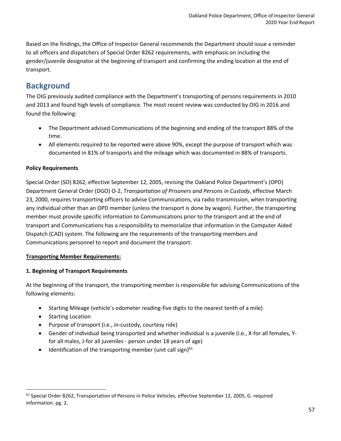Based on the findings, the Office of Inspector General recommends the Department should issue a reminder to all officers and dispatchers of Special Order 8262 requirements, with emphasis on including the gender/juvenile designator at the beginning of transport and confirming the ending location at the end of transport.

### **Background**

The OIG previously audited compliance with the Department's transporting of persons requirements in 2010 and 2013 and found high levels of compliance. The most recent review was conducted by OIG in 2016 and found the following:

- The Department advised Communications of the beginning and ending of the transport 88% of the time.
- All elements required to be reported were above 90%, except the purpose of transport which was documented in 81% of transports and the mileage which was documented in 88% of transports.

#### **Policy Requirements**

Special Order (SO) 8262, effective September 12, 2005, revising the Oakland Police Department's (OPD) Department General Order (DGO) O-2, *Transportation of Prisoners and Persons in Custody*, effective March 23, 2000, requires transporting officers to advise Communications, via radio transmission, when transporting any individual other than an OPD member (unless the transport is done by wagon). Further, the transporting member must provide specific information to Communications prior to the transport and at the end of transport and Communications has a responsibility to memorialize that information in the Computer Aided Dispatch (CAD) system. The following are the requirements of the transporting members and Communications personnel to report and document the transport:

#### **Transporting Member Requirements:**

#### **1. Beginning of Transport Requirements**

At the beginning of the transport, the transporting member is responsible for advising Communications of the following elements:

- Starting Mileage (vehicle's odometer reading-five digits to the nearest tenth of a mile)
- Starting Location
- Purpose of transport (i.e., in-custody, courtesy ride)
- Gender of individual being transported and whether individual is a juvenile (i.e., X-for all females, Yfor all males, J-for all juveniles - person under 18 years of age)
- $\bullet$  Identification of the transporting member (unit call sign)<sup>61</sup>

<sup>&</sup>lt;sup>61</sup> Special Order 8262, Transportation of Persons in Police Vehicles, effective September 12, 2005, G. required information. pg. 2.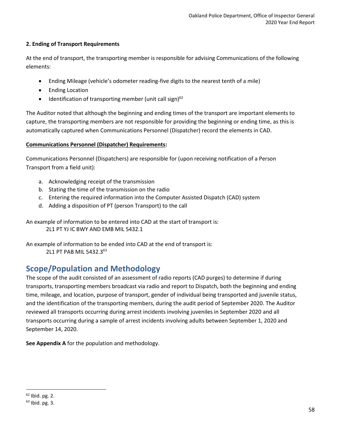#### **2. Ending of Transport Requirements**

At the end of transport, the transporting member is responsible for advising Communications of the following elements:

- Ending Mileage (vehicle's odometer reading-five digits to the nearest tenth of a mile)
- Ending Location
- Identification of transporting member (unit call sign) $62$

The Auditor noted that although the beginning and ending times of the transport are important elements to capture, the transporting members are not responsible for providing the beginning or ending time, as this is automatically captured when Communications Personnel (Dispatcher) record the elements in CAD.

#### **Communications Personnel (Dispatcher) Requirements:**

Communications Personnel (Dispatchers) are responsible for (upon receiving notification of a Person Transport from a field unit):

- a. Acknowledging receipt of the transmission
- b. Stating the time of the transmission on the radio
- c. Entering the required information into the Computer Assisted Dispatch (CAD) system
- d. Adding a disposition of PT (person Transport) to the call

An example of information to be entered into CAD at the start of transport is: 2L1 PT YJ IC BWY AND EMB MIL 5432.1

An example of information to be ended into CAD at the end of transport is: 2L1 PT PAB MIL 5432.3<sup>63</sup>

### **Scope/Population and Methodology**

The scope of the audit consisted of an assessment of radio reports (CAD purges) to determine if during transports, transporting members broadcast via radio and report to Dispatch, both the beginning and ending time, mileage, and location, purpose of transport, gender of individual being transported and juvenile status, and the identification of the transporting members, during the audit period of September 2020. The Auditor reviewed all transports occurring during arrest incidents involving juveniles in September 2020 and all transports occurring during a sample of arrest incidents involving adults between September 1, 2020 and September 14, 2020.

**See Appendix A** for the population and methodology.

 $62$  Ibid. pg. 2.

<sup>63</sup> Ibid. pg. 3.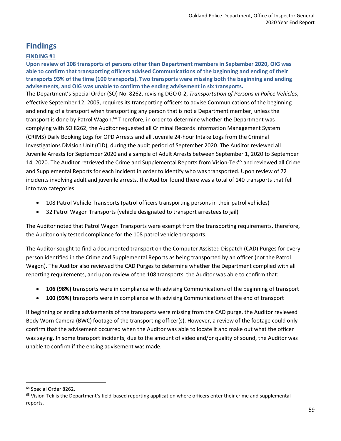### **Findings**

#### **FINDING #1**

**Upon review of 108 transports of persons other than Department members in September 2020, OIG was able to confirm that transporting officers advised Communications of the beginning and ending of their transports 93% of the time (100 transports). Two transports were missing both the beginning and ending advisements, and OIG was unable to confirm the ending advisement in six transports.** The Department's Special Order (SO) No. 8262, revising DGO 0-2, *Transportation of Persons in Police Vehicles*, effective September 12, 2005, requires its transporting officers to advise Communications of the beginning and ending of a transport when transporting any person that is not a Department member, unless the transport is done by Patrol Wagon.<sup>64</sup> Therefore, in order to determine whether the Department was complying with SO 8262, the Auditor requested all Criminal Records Information Management System (CRIMS) Daily Booking Logs for OPD Arrests and all Juvenile 24-hour Intake Logs from the Criminal Investigations Division Unit (CID), during the audit period of September 2020. The Auditor reviewed all Juvenile Arrests for September 2020 and a sample of Adult Arrests between September 1, 2020 to September 14, 2020. The Auditor retrieved the Crime and Supplemental Reports from Vision-Tek<sup>65</sup> and reviewed all Crime and Supplemental Reports for each incident in order to identify who was transported. Upon review of 72 incidents involving adult and juvenile arrests, the Auditor found there was a total of 140 transports that fell into two categories:

- 108 Patrol Vehicle Transports (patrol officers transporting persons in their patrol vehicles)
- 32 Patrol Wagon Transports (vehicle designated to transport arrestees to jail)

The Auditor noted that Patrol Wagon Transports were exempt from the transporting requirements, therefore, the Auditor only tested compliance for the 108 patrol vehicle transports.

The Auditor sought to find a documented transport on the Computer Assisted Dispatch (CAD) Purges for every person identified in the Crime and Supplemental Reports as being transported by an officer (not the Patrol Wagon). The Auditor also reviewed the CAD Purges to determine whether the Department complied with all reporting requirements, and upon review of the 108 transports, the Auditor was able to confirm that:

- **106 (98%)** transports were in compliance with advising Communications of the beginning of transport
- **100 (93%)** transports were in compliance with advising Communications of the end of transport

If beginning or ending advisements of the transports were missing from the CAD purge, the Auditor reviewed Body Worn Camera (BWC) footage of the transporting officer(s). However, a review of the footage could only confirm that the advisement occurred when the Auditor was able to locate it and make out what the officer was saying. In some transport incidents, due to the amount of video and/or quality of sound, the Auditor was unable to confirm if the ending advisement was made.

<sup>&</sup>lt;sup>64</sup> Special Order 8262.

 $65$  Vision-Tek is the Department's field-based reporting application where officers enter their crime and supplemental reports.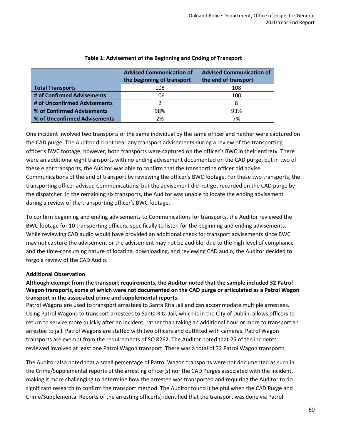|                              | <b>Advised Communication of</b><br>the beginning of transport | <b>Advised Communication of</b><br>the end of transport |
|------------------------------|---------------------------------------------------------------|---------------------------------------------------------|
| <b>Total Transports</b>      | 108                                                           | 108                                                     |
| # of Confirmed Advisements   | 106                                                           | 100                                                     |
| # of Unconfirmed Advisements |                                                               | 8                                                       |
| % of Confirmed Advisements   | 98%                                                           | 93%                                                     |
| % of Unconfirmed Advisements | 2%                                                            | 7%                                                      |

#### **Table 1: Advisement of the Beginning and Ending of Transport**

One incident involved two transports of the same individual by the same officer and neither were captured on the CAD purge. The Auditor did not hear any transport advisements during a review of the transporting officer's BWC footage; however, both transports were captured on the officer's BWC in their entirety. There were an additional eight transports with no ending advisement documented on the CAD purge, but in two of these eight transports, the Auditor was able to confirm that the transporting officer did advise Communications of the end of transport by reviewing the officer's BWC footage. For these two transports, the transporting officer advised Communications, but the advisement did not get recorded on the CAD purge by the dispatcher. In the remaining six transports, the Auditor was unable to locate the ending advisement during a review of the transporting officer's BWC footage.

To confirm beginning and ending advisements to Communications for transports, the Auditor reviewed the BWC footage for 10 transporting officers, specifically to listen for the beginning and ending advisements. While reviewing CAD audio would have provided an additional check for transport advisements since BWC may not capture the advisement or the advisement may not be audible, due to the high level of compliance and the time-consuming nature of locating, downloading, and reviewing CAD audio, the Auditor decided to forgo a review of the CAD Audio.

#### **Additional Observation**

#### **Although exempt from the transport requirements, the Auditor noted that the sample included 32 Patrol Wagon transports, some of which were not documented on the CAD purge or articulated as a Patrol Wagon transport in the associated crime and supplemental reports.**

Patrol Wagons are used to transport arrestees to Santa Rita Jail and can accommodate multiple arrestees. Using Patrol Wagons to transport arrestees to Santa Rita Jail, which is in the City of Dublin, allows officers to return to service more quickly after an incident, rather than taking an additional hour or more to transport an arrestee to jail. Patrol Wagons are staffed with two officers and outfitted with cameras. Patrol Wagon transports are exempt from the requirements of SO 8262. The Auditor noted that 25 of the incidents reviewed involved at least one Patrol Wagon transport. There was a total of 32 Patrol Wagon transports.

The Auditor also noted that a small percentage of Patrol Wagon transports were not documented as such in the Crime/Supplemental reports of the arresting officer(s) nor the CAD Purges associated with the incident, making it more challenging to determine how the arrestee was transported and requiring the Auditor to do significant research to confirm the transport method. The Auditor found it helpful when the CAD Purge and Crime/Supplemental Reports of the arresting officer(s) identified that the transport was done via Patrol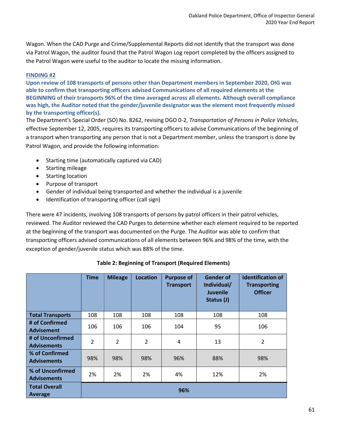Wagon. When the CAD Purge and Crime/Supplemental Reports did not identify that the transport was done via Patrol Wagon, the auditor found that the Patrol Wagon Log report completed by the officers assigned to the Patrol Wagon were useful to the auditor to locate the missing information.

#### **FINDING #2**

**Upon review of 108 transports of persons other than Department members in September 2020, OIG was able to confirm that transporting officers advised Communications of all required elements at the BEGINNING of their transports 96% of the time averaged across all elements. Although overall compliance was high, the Auditor noted that the gender/juvenile designator was the element most frequently missed by the transporting officer(s).** 

The Department's Special Order (SO) No. 8262, revising DGO 0-2, *Transportation of Persons in Police Vehicles*, effective September 12, 2005, requires its transporting officers to advise Communications of the beginning of a transport when transporting any person that is not a Department member, unless the transport is done by Patrol Wagon, and provide the following information:

- Starting time (automatically captured via CAD)
- Starting mileage
- Starting location
- Purpose of transport
- Gender of individual being transported and whether the individual is a juvenile
- Identification of transporting officer (call sign)

There were 47 incidents, involving 108 transports of persons by patrol officers in their patrol vehicles, reviewed. The Auditor reviewed the CAD Purges to determine whether each element required to be reported at the beginning of the transport was documented on the Purge. The Auditor was able to confirm that transporting officers advised communications of all elements between 96% and 98% of the time, with the exception of gender/juvenile status which was 88% of the time.

|                                        | <b>Time</b> | <b>Mileage</b> | <b>Location</b> | <b>Purpose of</b><br><b>Transport</b> | <b>Gender of</b><br>Individual/<br><b>Juvenile</b><br>Status (J) | <b>Identification of</b><br><b>Transporting</b><br><b>Officer</b> |
|----------------------------------------|-------------|----------------|-----------------|---------------------------------------|------------------------------------------------------------------|-------------------------------------------------------------------|
| <b>Total Transports</b>                | 108         | 108            | 108             | 108                                   | 108                                                              | 108                                                               |
| # of Confirmed<br><b>Advisement</b>    | 106         | 106            | 106             | 104                                   | 95                                                               | 106                                                               |
| # of Unconfirmed<br><b>Advisements</b> | 2           | 2              | $\overline{2}$  | 4                                     | 13                                                               | 2                                                                 |
| % of Confirmed<br><b>Advisements</b>   | 98%         | 98%            | 98%             | 96%                                   | 88%                                                              | 98%                                                               |
| % of Unconfirmed<br><b>Advisements</b> | 2%          | 2%             | 2%              | 4%                                    | 12%                                                              | 2%                                                                |
| <b>Total Overall</b><br><b>Average</b> | 96%         |                |                 |                                       |                                                                  |                                                                   |

#### **Table 2: Beginning of Transport (Required Elements)**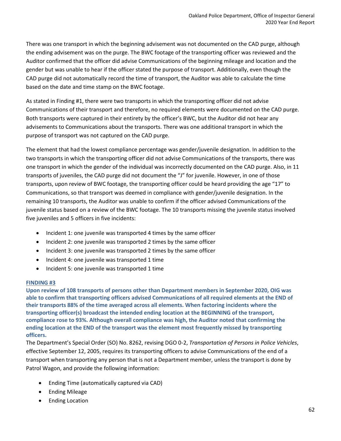There was one transport in which the beginning advisement was not documented on the CAD purge, although the ending advisement was on the purge. The BWC footage of the transporting officer was reviewed and the Auditor confirmed that the officer did advise Communications of the beginning mileage and location and the gender but was unable to hear if the officer stated the purpose of transport. Additionally, even though the CAD purge did not automatically record the time of transport, the Auditor was able to calculate the time based on the date and time stamp on the BWC footage.

As stated in Finding #1, there were two transports in which the transporting officer did not advise Communications of their transport and therefore, no required elements were documented on the CAD purge. Both transports were captured in their entirety by the officer's BWC, but the Auditor did not hear any advisements to Communications about the transports. There was one additional transport in which the purpose of transport was not captured on the CAD purge.

The element that had the lowest compliance percentage was gender/juvenile designation. In addition to the two transports in which the transporting officer did not advise Communications of the transports, there was one transport in which the gender of the individual was incorrectly documented on the CAD purge. Also, in 11 transports of juveniles, the CAD purge did not document the "J" for juvenile. However, in one of those transports, upon review of BWC footage, the transporting officer could be heard providing the age "17" to Communications, so that transport was deemed in compliance with gender/juvenile designation. In the remaining 10 transports, the Auditor was unable to confirm if the officer advised Communications of the juvenile status based on a review of the BWC footage. The 10 transports missing the juvenile status involved five juveniles and 5 officers in five incidents:

- Incident 1: one juvenile was transported 4 times by the same officer
- Incident 2: one juvenile was transported 2 times by the same officer
- Incident 3: one juvenile was transported 2 times by the same officer
- Incident 4: one juvenile was transported 1 time
- Incident 5: one juvenile was transported 1 time

#### **FINDING #3**

**Upon review of 108 transports of persons other than Department members in September 2020, OIG was able to confirm that transporting officers advised Communications of all required elements at the END of their transports 88% of the time averaged across all elements. When factoring incidents where the transporting officer(s) broadcast the intended ending location at the BEGINNING of the transport, compliance rose to 93%. Although overall compliance was high, the Auditor noted that confirming the ending location at the END of the transport was the element most frequently missed by transporting officers.** 

The Department's Special Order (SO) No. 8262, revising DGO 0-2, *Transportation of Persons in Police Vehicles*, effective September 12, 2005, requires its transporting officers to advise Communications of the end of a transport when transporting any person that is not a Department member, unless the transport is done by Patrol Wagon, and provide the following information:

- Ending Time (automatically captured via CAD)
- Ending Mileage
- Ending Location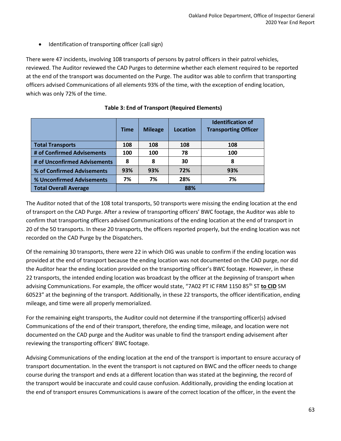• Identification of transporting officer (call sign)

There were 47 incidents, involving 108 transports of persons by patrol officers in their patrol vehicles, reviewed. The Auditor reviewed the CAD Purges to determine whether each element required to be reported at the end of the transport was documented on the Purge. The auditor was able to confirm that transporting officers advised Communications of all elements 93% of the time, with the exception of ending location, which was only 72% of the time.

|                              | <b>Time</b> | <b>Mileage</b> | Location | <b>Identification of</b><br><b>Transporting Officer</b> |
|------------------------------|-------------|----------------|----------|---------------------------------------------------------|
| <b>Total Transports</b>      | 108         | 108            | 108      | 108                                                     |
| # of Confirmed Advisements   | 100         | 100            | 78       | 100                                                     |
| # of Unconfirmed Advisements | 8           | 8              | 30       | 8                                                       |
| % of Confirmed Advisements   | 93%         | 93%            | 72%      | 93%                                                     |
| % Unconfirmed Advisements    | 7%          | 7%             | 28%      | 7%                                                      |
| <b>Total Overall Average</b> |             |                | 88%      |                                                         |

#### **Table 3: End of Transport (Required Elements)**

The Auditor noted that of the 108 total transports, 50 transports were missing the ending location at the end of transport on the CAD Purge. After a review of transporting officers' BWC footage, the Auditor was able to confirm that transporting officers advised Communications of the ending location at the end of transport in 20 of the 50 transports. In these 20 transports, the officers reported properly, but the ending location was not recorded on the CAD Purge by the Dispatchers.

Of the remaining 30 transports, there were 22 in which OIG was unable to confirm if the ending location was provided at the end of transport because the ending location was not documented on the CAD purge, nor did the Auditor hear the ending location provided on the transporting officer's BWC footage. However, in these 22 transports, the intended ending location was broadcast by the officer at the *beginning* of transport when advising Communications. For example, the officer would state, "7A02 PT IC FRM 1150 85<sup>th</sup> ST to CID SM 60523" at the beginning of the transport. Additionally, in these 22 transports, the officer identification, ending mileage, and time were all properly memorialized.

For the remaining eight transports, the Auditor could not determine if the transporting officer(s) advised Communications of the end of their transport, therefore, the ending time, mileage, and location were not documented on the CAD purge and the Auditor was unable to find the transport ending advisement after reviewing the transporting officers' BWC footage.

Advising Communications of the ending location at the end of the transport is important to ensure accuracy of transport documentation. In the event the transport is not captured on BWC and the officer needs to change course during the transport and ends at a different location than was stated at the beginning, the record of the transport would be inaccurate and could cause confusion. Additionally, providing the ending location at the end of transport ensures Communications is aware of the correct location of the officer, in the event the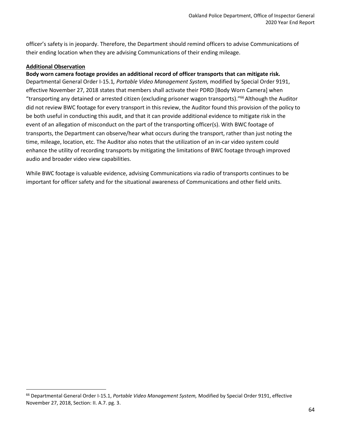officer's safety is in jeopardy. Therefore, the Department should remind officers to advise Communications of their ending location when they are advising Communications of their ending mileage.

#### **Additional Observation**

#### **Body worn camera footage provides an additional record of officer transports that can mitigate risk.**

Departmental General Order I-15.1*, Portable Video Management System,* modified by Special Order 9191, effective November 27, 2018 states that members shall activate their PDRD [Body Worn Camera] when "transporting any detained or arrested citizen (excluding prisoner wagon transports)."<sup>66</sup> Although the Auditor did not review BWC footage for every transport in this review, the Auditor found this provision of the policy to be both useful in conducting this audit, and that it can provide additional evidence to mitigate risk in the event of an allegation of misconduct on the part of the transporting officer(s). With BWC footage of transports, the Department can observe/hear what occurs during the transport, rather than just noting the time, mileage, location, etc. The Auditor also notes that the utilization of an in-car video system could enhance the utility of recording transports by mitigating the limitations of BWC footage through improved audio and broader video view capabilities.

While BWC footage is valuable evidence, advising Communications via radio of transports continues to be important for officer safety and for the situational awareness of Communications and other field units.

<sup>66</sup> Departmental General Order I-15.1, *Portable Video Management System,* Modified by Special Order 9191, effective November 27, 2018, Section: II. A.7. pg. 3.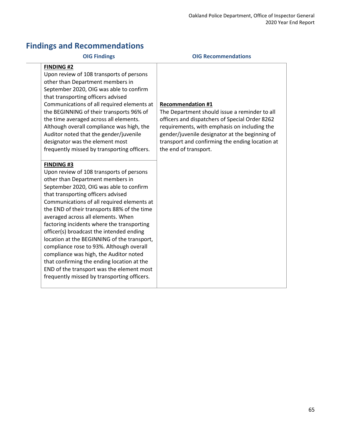### **Findings and Recommendations**

#### **OIG Findings OIG Recommendations**

#### **FINDING #2**

Upon review of 108 transports of persons other than Department members in September 2020, OIG was able to confirm that transporting officers advised Communications of all required elements at the BEGINNING of their transports 96% of the time averaged across all elements. Although overall compliance was high, the Auditor noted that the gender/juvenile designator was the element most frequently missed by transporting officers.

#### **FINDING #3**

Upon review of 108 transports of persons other than Department members in September 2020, OIG was able to confirm that transporting officers advised Communications of all required elements at the END of their transports 88% of the time averaged across all elements. When factoring incidents where the transporting officer(s) broadcast the intended ending location at the BEGINNING of the transport, compliance rose to 93%. Although overall compliance was high, the Auditor noted that confirming the ending location at the END of the transport was the element most frequently missed by transporting officers.

#### **Recommendation #1**

The Department should issue a reminder to all officers and dispatchers of Special Order 8262 requirements, with emphasis on including the gender/juvenile designator at the beginning of transport and confirming the ending location at the end of transport.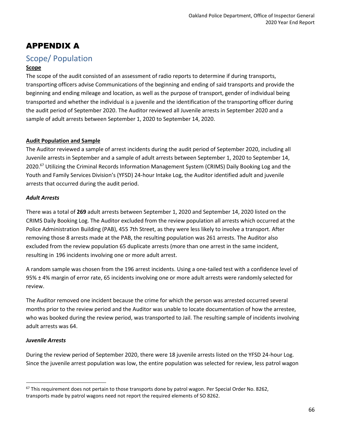### APPENDIX A

### Scope/ Population

#### **Scope**

The scope of the audit consisted of an assessment of radio reports to determine if during transports, transporting officers advise Communications of the beginning and ending of said transports and provide the beginning and ending mileage and location, as well as the purpose of transport, gender of individual being transported and whether the individual is a juvenile and the identification of the transporting officer during the audit period of September 2020. The Auditor reviewed all Juvenile arrests in September 2020 and a sample of adult arrests between September 1, 2020 to September 14, 2020.

#### **Audit Population and Sample**

The Auditor reviewed a sample of arrest incidents during the audit period of September 2020, including all Juvenile arrests in September and a sample of adult arrests between September 1, 2020 to September 14, 2020.<sup>67</sup> Utilizing the Criminal Records Information Management System (CRIMS) Daily Booking Log and the Youth and Family Services Division's (YFSD) 24-hour Intake Log, the Auditor identified adult and juvenile arrests that occurred during the audit period.

#### *Adult Arrests*

There was a total of **269** adult arrests between September 1, 2020 and September 14, 2020 listed on the CRIMS Daily Booking Log. The Auditor excluded from the review population all arrests which occurred at the Police Administration Building (PAB), 455 7th Street, as they were less likely to involve a transport. After removing those 8 arrests made at the PAB, the resulting population was 261 arrests. The Auditor also excluded from the review population 65 duplicate arrests (more than one arrest in the same incident, resulting in 196 incidents involving one or more adult arrest.

A random sample was chosen from the 196 arrest incidents. Using a one-tailed test with a confidence level of 95% ± 4% margin of error rate, 65 incidents involving one or more adult arrests were randomly selected for review.

The Auditor removed one incident because the crime for which the person was arrested occurred several months prior to the review period and the Auditor was unable to locate documentation of how the arrestee, who was booked during the review period, was transported to Jail. The resulting sample of incidents involving adult arrests was 64.

#### *Juvenile Arrests*

During the review period of September 2020, there were 18 juvenile arrests listed on the YFSD 24-hour Log. Since the juvenile arrest population was low, the entire population was selected for review, less patrol wagon

 $67$  This requirement does not pertain to those transports done by patrol wagon. Per Special Order No. 8262, transports made by patrol wagons need not report the required elements of SO 8262.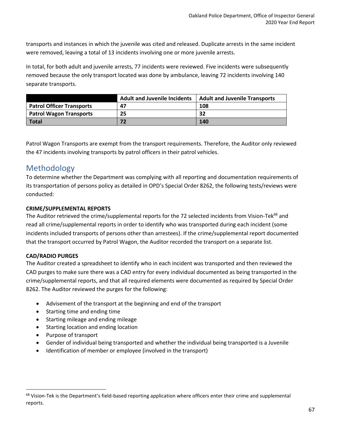transports and instances in which the juvenile was cited and released. Duplicate arrests in the same incident were removed, leaving a total of 13 incidents involving one or more juvenile arrests.

In total, for both adult and juvenile arrests, 77 incidents were reviewed. Five incidents were subsequently removed because the only transport located was done by ambulance, leaving 72 incidents involving 140 separate transports.

|                                  | <b>Adult and Juvenile Incidents</b> | <b>Adult and Juvenile Transports</b> |
|----------------------------------|-------------------------------------|--------------------------------------|
| <b>Patrol Officer Transports</b> | 47                                  | 108                                  |
| <b>Patrol Wagon Transports</b>   | 25                                  | 32                                   |
| <b>Total</b>                     |                                     | 140                                  |

Patrol Wagon Transports are exempt from the transport requirements. Therefore, the Auditor only reviewed the 47 incidents involving transports by patrol officers in their patrol vehicles.

### Methodology

To determine whether the Department was complying with all reporting and documentation requirements of its transportation of persons policy as detailed in OPD's Special Order 8262, the following tests/reviews were conducted:

#### **CRIME/SUPPLEMENTAL REPORTS**

The Auditor retrieved the crime/supplemental reports for the 72 selected incidents from Vision-Tek<sup>68</sup> and read all crime/supplemental reports in order to identify who was transported during each incident (some incidents included transports of persons other than arrestees). If the crime/supplemental report documented that the transport occurred by Patrol Wagon, the Auditor recorded the transport on a separate list.

#### **CAD/RADIO PURGES**

The Auditor created a spreadsheet to identify who in each incident was transported and then reviewed the CAD purges to make sure there was a CAD entry for every individual documented as being transported in the crime/supplemental reports, and that all required elements were documented as required by Special Order 8262. The Auditor reviewed the purges for the following:

- Advisement of the transport at the beginning and end of the transport
- Starting time and ending time
- Starting mileage and ending mileage
- Starting location and ending location
- Purpose of transport
- Gender of individual being transported and whether the individual being transported is a Juvenile
- Identification of member or employee (involved in the transport)

 $68$  Vision-Tek is the Department's field-based reporting application where officers enter their crime and supplemental reports.